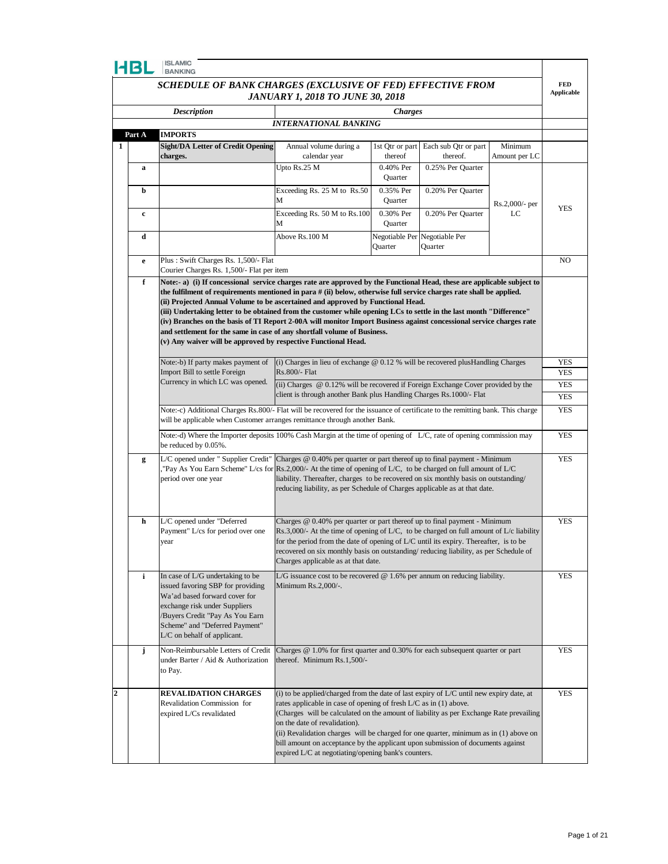|                  | <b>ISLAMIC</b><br>HBL<br><b>BANKING</b>                                                                                                                                                                                                                                                                                                                                                                                                                                                                                                                                                                                                                                                                                               |                                                                                                                                                                                                                                                          |                                                                                                                                                                                                                                                                                                                                                                                                                                                                                                                            |                           |                                  |                |            |
|------------------|---------------------------------------------------------------------------------------------------------------------------------------------------------------------------------------------------------------------------------------------------------------------------------------------------------------------------------------------------------------------------------------------------------------------------------------------------------------------------------------------------------------------------------------------------------------------------------------------------------------------------------------------------------------------------------------------------------------------------------------|----------------------------------------------------------------------------------------------------------------------------------------------------------------------------------------------------------------------------------------------------------|----------------------------------------------------------------------------------------------------------------------------------------------------------------------------------------------------------------------------------------------------------------------------------------------------------------------------------------------------------------------------------------------------------------------------------------------------------------------------------------------------------------------------|---------------------------|----------------------------------|----------------|------------|
|                  | SCHEDULE OF BANK CHARGES (EXCLUSIVE OF FED) EFFECTIVE FROM                                                                                                                                                                                                                                                                                                                                                                                                                                                                                                                                                                                                                                                                            |                                                                                                                                                                                                                                                          |                                                                                                                                                                                                                                                                                                                                                                                                                                                                                                                            |                           | <b>FED</b><br><b>Applicable</b>  |                |            |
|                  | <b>JANUARY 1, 2018 TO JUNE 30, 2018</b>                                                                                                                                                                                                                                                                                                                                                                                                                                                                                                                                                                                                                                                                                               |                                                                                                                                                                                                                                                          |                                                                                                                                                                                                                                                                                                                                                                                                                                                                                                                            |                           |                                  |                |            |
|                  |                                                                                                                                                                                                                                                                                                                                                                                                                                                                                                                                                                                                                                                                                                                                       | <b>Description</b>                                                                                                                                                                                                                                       |                                                                                                                                                                                                                                                                                                                                                                                                                                                                                                                            | <b>Charges</b>            |                                  |                |            |
|                  | Part A                                                                                                                                                                                                                                                                                                                                                                                                                                                                                                                                                                                                                                                                                                                                | <b>IMPORTS</b>                                                                                                                                                                                                                                           | <b>INTERNATIONAL BANKING</b>                                                                                                                                                                                                                                                                                                                                                                                                                                                                                               |                           |                                  |                |            |
| 1                |                                                                                                                                                                                                                                                                                                                                                                                                                                                                                                                                                                                                                                                                                                                                       | <b>Sight/DA Letter of Credit Opening</b>                                                                                                                                                                                                                 | Annual volume during a                                                                                                                                                                                                                                                                                                                                                                                                                                                                                                     | 1st Qtr or part           | Each sub Qtr or part             | Minimum        |            |
|                  |                                                                                                                                                                                                                                                                                                                                                                                                                                                                                                                                                                                                                                                                                                                                       | charges.                                                                                                                                                                                                                                                 | calendar year                                                                                                                                                                                                                                                                                                                                                                                                                                                                                                              | thereof                   | thereof.                         | Amount per LC  |            |
|                  | a                                                                                                                                                                                                                                                                                                                                                                                                                                                                                                                                                                                                                                                                                                                                     |                                                                                                                                                                                                                                                          | Upto Rs.25 M                                                                                                                                                                                                                                                                                                                                                                                                                                                                                                               | 0.40% Per<br>Quarter      | 0.25% Per Quarter                |                |            |
|                  | b                                                                                                                                                                                                                                                                                                                                                                                                                                                                                                                                                                                                                                                                                                                                     |                                                                                                                                                                                                                                                          | Exceeding Rs. 25 M to Rs.50<br>М                                                                                                                                                                                                                                                                                                                                                                                                                                                                                           | 0.35% Per<br>Quarter      | 0.20% Per Quarter                | Rs.2,000/- per |            |
|                  | c                                                                                                                                                                                                                                                                                                                                                                                                                                                                                                                                                                                                                                                                                                                                     |                                                                                                                                                                                                                                                          | Exceeding Rs. 50 M to Rs.100<br>М                                                                                                                                                                                                                                                                                                                                                                                                                                                                                          | 0.30% Per<br>Quarter      | 0.20% Per Quarter                | LC             | <b>YES</b> |
|                  | d                                                                                                                                                                                                                                                                                                                                                                                                                                                                                                                                                                                                                                                                                                                                     |                                                                                                                                                                                                                                                          | Above Rs.100 M                                                                                                                                                                                                                                                                                                                                                                                                                                                                                                             | Negotiable Per<br>Ouarter | Negotiable Per<br><b>Quarter</b> |                |            |
|                  | e                                                                                                                                                                                                                                                                                                                                                                                                                                                                                                                                                                                                                                                                                                                                     | Plus: Swift Charges Rs. 1,500/- Flat                                                                                                                                                                                                                     |                                                                                                                                                                                                                                                                                                                                                                                                                                                                                                                            |                           |                                  |                | NO.        |
|                  |                                                                                                                                                                                                                                                                                                                                                                                                                                                                                                                                                                                                                                                                                                                                       | Courier Charges Rs. 1,500/- Flat per item                                                                                                                                                                                                                |                                                                                                                                                                                                                                                                                                                                                                                                                                                                                                                            |                           |                                  |                |            |
|                  | f<br>Note:- a) (i) If concessional service charges rate are approved by the Functional Head, these are applicable subject to<br>the fulfilment of requirements mentioned in para # (ii) below, otherwise full service charges rate shall be applied.<br>(ii) Projected Annual Volume to be ascertained and approved by Functional Head.<br>(iii) Undertaking letter to be obtained from the customer while opening LCs to settle in the last month "Difference"<br>(iv) Branches on the basis of TI Report 2-00A will monitor Import Business against concessional service charges rate<br>and settlement for the same in case of any shortfall volume of Business.<br>(v) Any waiver will be approved by respective Functional Head. |                                                                                                                                                                                                                                                          |                                                                                                                                                                                                                                                                                                                                                                                                                                                                                                                            |                           |                                  |                |            |
|                  |                                                                                                                                                                                                                                                                                                                                                                                                                                                                                                                                                                                                                                                                                                                                       | Note:-b) If party makes payment of                                                                                                                                                                                                                       | (i) Charges in lieu of exchange @ 0.12 % will be recovered plusHandling Charges                                                                                                                                                                                                                                                                                                                                                                                                                                            |                           |                                  |                | YES        |
|                  |                                                                                                                                                                                                                                                                                                                                                                                                                                                                                                                                                                                                                                                                                                                                       | Import Bill to settle Foreign                                                                                                                                                                                                                            | Rs.800/- Flat                                                                                                                                                                                                                                                                                                                                                                                                                                                                                                              |                           |                                  |                | <b>YES</b> |
|                  |                                                                                                                                                                                                                                                                                                                                                                                                                                                                                                                                                                                                                                                                                                                                       | Currency in which LC was opened.                                                                                                                                                                                                                         | (ii) Charges @ 0.12% will be recovered if Foreign Exchange Cover provided by the                                                                                                                                                                                                                                                                                                                                                                                                                                           |                           |                                  |                | <b>YES</b> |
|                  |                                                                                                                                                                                                                                                                                                                                                                                                                                                                                                                                                                                                                                                                                                                                       | client is through another Bank plus Handling Charges Rs. 1000/- Flat<br>Note:-c) Additional Charges Rs.800/- Flat will be recovered for the issuance of certificate to the remitting bank. This charge                                                   |                                                                                                                                                                                                                                                                                                                                                                                                                                                                                                                            |                           |                                  |                | <b>YES</b> |
|                  |                                                                                                                                                                                                                                                                                                                                                                                                                                                                                                                                                                                                                                                                                                                                       | will be applicable when Customer arranges remittance through another Bank.                                                                                                                                                                               |                                                                                                                                                                                                                                                                                                                                                                                                                                                                                                                            |                           |                                  |                | <b>YES</b> |
|                  |                                                                                                                                                                                                                                                                                                                                                                                                                                                                                                                                                                                                                                                                                                                                       | Note:-d) Where the Importer deposits 100% Cash Margin at the time of opening of L/C, rate of opening commission may<br>be reduced by 0.05%.                                                                                                              |                                                                                                                                                                                                                                                                                                                                                                                                                                                                                                                            |                           |                                  |                |            |
|                  | g                                                                                                                                                                                                                                                                                                                                                                                                                                                                                                                                                                                                                                                                                                                                     | L/C opened under " Supplier Credit" Charges @ 0.40% per quarter or part thereof up to final payment - Minimum<br>"Pay As You Earn Scheme" L/cs for Rs.2,000/- At the time of opening of L/C, to be charged on full amount of L/C<br>period over one year | liability. Thereafter, charges to be recovered on six monthly basis on outstanding/<br>reducing liability, as per Schedule of Charges applicable as at that date.                                                                                                                                                                                                                                                                                                                                                          |                           |                                  |                | <b>YES</b> |
|                  | h                                                                                                                                                                                                                                                                                                                                                                                                                                                                                                                                                                                                                                                                                                                                     | L/C opened under "Deferred<br>Payment" L/cs for period over one<br>year                                                                                                                                                                                  | Charges $@$ 0.40% per quarter or part thereof up to final payment - Minimum<br>$\text{Rs.3,000/-}$ At the time of opening of L/C, to be charged on full amount of L/c liability<br>for the period from the date of opening of $L/C$ until its expiry. Thereafter, is to be<br>recovered on six monthly basis on outstanding/reducing liability, as per Schedule of<br>Charges applicable as at that date.                                                                                                                  |                           |                                  |                | <b>YES</b> |
|                  | i                                                                                                                                                                                                                                                                                                                                                                                                                                                                                                                                                                                                                                                                                                                                     | In case of L/G undertaking to be<br>issued favoring SBP for providing<br>Wa'ad based forward cover for<br>exchange risk under Suppliers<br>/Buyers Credit "Pay As You Earn<br>Scheme" and "Deferred Payment"<br>L/C on behalf of applicant.              | L/G issuance cost to be recovered $@$ 1.6% per annum on reducing liability.<br>Minimum $Rs.2,000/-$ .                                                                                                                                                                                                                                                                                                                                                                                                                      |                           |                                  |                | YES        |
|                  | j                                                                                                                                                                                                                                                                                                                                                                                                                                                                                                                                                                                                                                                                                                                                     | Non-Reimbursable Letters of Credit<br>under Barter / Aid & Authorization<br>to Pay.                                                                                                                                                                      | Charges $@$ 1.0% for first quarter and 0.30% for each subsequent quarter or part<br>thereof. Minimum Rs.1,500/-                                                                                                                                                                                                                                                                                                                                                                                                            |                           |                                  |                | <b>YES</b> |
| $\boldsymbol{2}$ |                                                                                                                                                                                                                                                                                                                                                                                                                                                                                                                                                                                                                                                                                                                                       | <b>REVALIDATION CHARGES</b><br>Revalidation Commission for<br>expired L/Cs revalidated                                                                                                                                                                   | (i) to be applied/charged from the date of last expiry of L/C until new expiry date, at<br>rates applicable in case of opening of fresh L/C as in (1) above.<br>(Charges will be calculated on the amount of liability as per Exchange Rate prevailing<br>on the date of revalidation).<br>(ii) Revalidation charges will be charged for one quarter, minimum as in (1) above on<br>bill amount on acceptance by the applicant upon submission of documents against<br>expired L/C at negotiating/opening bank's counters. |                           |                                  |                | <b>YES</b> |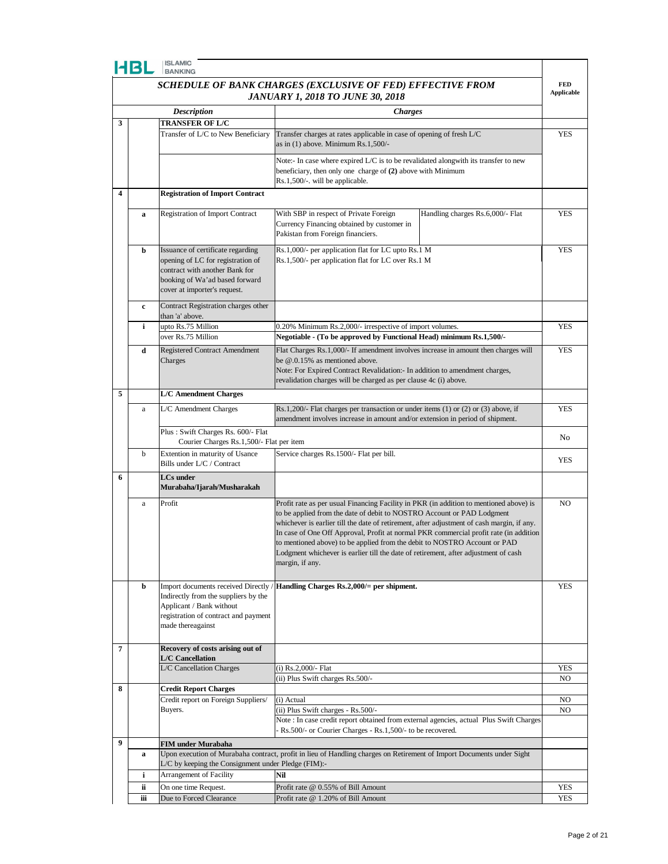| <b>ISLAMIC</b><br>HBL<br><b>BANKING</b> |                                                                                                       |                                                                                                                                                                            |                                                                                                                                                                                                                                                                                                                                                                                                                                                                                                                                                |                |  |
|-----------------------------------------|-------------------------------------------------------------------------------------------------------|----------------------------------------------------------------------------------------------------------------------------------------------------------------------------|------------------------------------------------------------------------------------------------------------------------------------------------------------------------------------------------------------------------------------------------------------------------------------------------------------------------------------------------------------------------------------------------------------------------------------------------------------------------------------------------------------------------------------------------|----------------|--|
|                                         | SCHEDULE OF BANK CHARGES (EXCLUSIVE OF FED) EFFECTIVE FROM<br><b>JANUARY 1, 2018 TO JUNE 30, 2018</b> |                                                                                                                                                                            |                                                                                                                                                                                                                                                                                                                                                                                                                                                                                                                                                |                |  |
|                                         |                                                                                                       | <b>Description</b>                                                                                                                                                         | <b>Charges</b>                                                                                                                                                                                                                                                                                                                                                                                                                                                                                                                                 |                |  |
| 3                                       |                                                                                                       | <b>TRANSFER OF L/C</b>                                                                                                                                                     |                                                                                                                                                                                                                                                                                                                                                                                                                                                                                                                                                |                |  |
|                                         |                                                                                                       | Transfer of L/C to New Beneficiary                                                                                                                                         | Transfer charges at rates applicable in case of opening of fresh L/C<br>as in $(1)$ above. Minimum Rs.1,500/-                                                                                                                                                                                                                                                                                                                                                                                                                                  | <b>YES</b>     |  |
|                                         |                                                                                                       |                                                                                                                                                                            | Note:- In case where expired $L/C$ is to be revalidated alongwith its transfer to new<br>beneficiary, then only one charge of (2) above with Minimum<br>Rs.1,500/-. will be applicable.                                                                                                                                                                                                                                                                                                                                                        |                |  |
| 4                                       |                                                                                                       | <b>Registration of Import Contract</b>                                                                                                                                     |                                                                                                                                                                                                                                                                                                                                                                                                                                                                                                                                                |                |  |
|                                         | a                                                                                                     | <b>Registration of Import Contract</b>                                                                                                                                     | With SBP in respect of Private Foreign<br>Handling charges Rs.6,000/- Flat<br>Currency Financing obtained by customer in<br>Pakistan from Foreign financiers.                                                                                                                                                                                                                                                                                                                                                                                  | <b>YES</b>     |  |
|                                         | b                                                                                                     | Issuance of certificate regarding<br>opening of LC for registration of<br>contract with another Bank for<br>booking of Wa'ad based forward<br>cover at importer's request. | Rs.1,000/- per application flat for LC upto Rs.1 M<br>Rs.1,500/- per application flat for LC over Rs.1 M                                                                                                                                                                                                                                                                                                                                                                                                                                       | YES            |  |
|                                         | c                                                                                                     | Contract Registration charges other<br>than 'a' above.                                                                                                                     |                                                                                                                                                                                                                                                                                                                                                                                                                                                                                                                                                |                |  |
|                                         | i                                                                                                     | upto Rs.75 Million                                                                                                                                                         | 0.20% Minimum Rs.2,000/- irrespective of import volumes.                                                                                                                                                                                                                                                                                                                                                                                                                                                                                       | <b>YES</b>     |  |
|                                         |                                                                                                       | over Rs.75 Million                                                                                                                                                         | Negotiable - (To be approved by Functional Head) minimum Rs.1,500/-                                                                                                                                                                                                                                                                                                                                                                                                                                                                            |                |  |
|                                         | d                                                                                                     | <b>Registered Contract Amendment</b><br>Charges                                                                                                                            | Flat Charges Rs.1,000/- If amendment involves increase in amount then charges will<br>be @.0.15% as mentioned above.<br>Note: For Expired Contract Revalidation: In addition to amendment charges,<br>revalidation charges will be charged as per clause 4c (i) above.                                                                                                                                                                                                                                                                         | <b>YES</b>     |  |
| 5                                       |                                                                                                       | <b>L/C</b> Amendment Charges                                                                                                                                               |                                                                                                                                                                                                                                                                                                                                                                                                                                                                                                                                                |                |  |
|                                         | $\rm{a}$                                                                                              | L/C Amendment Charges                                                                                                                                                      | Rs.1,200/- Flat charges per transaction or under items $(1)$ or $(2)$ or $(3)$ above, if<br>amendment involves increase in amount and/or extension in period of shipment.                                                                                                                                                                                                                                                                                                                                                                      | <b>YES</b>     |  |
|                                         |                                                                                                       | Plus: Swift Charges Rs. 600/- Flat<br>Courier Charges Rs.1,500/- Flat per item                                                                                             |                                                                                                                                                                                                                                                                                                                                                                                                                                                                                                                                                | No             |  |
|                                         | b                                                                                                     | Extention in maturity of Usance<br>Bills under L/C / Contract                                                                                                              | Service charges Rs.1500/- Flat per bill.                                                                                                                                                                                                                                                                                                                                                                                                                                                                                                       | YES            |  |
| 6                                       |                                                                                                       | <b>LCs</b> under<br>Murabaha/Ijarah/Musharakah                                                                                                                             |                                                                                                                                                                                                                                                                                                                                                                                                                                                                                                                                                |                |  |
|                                         | a                                                                                                     | Profit                                                                                                                                                                     | Profit rate as per usual Financing Facility in PKR (in addition to mentioned above) is<br>to be applied from the date of debit to NOSTRO Account or PAD Lodgment<br>whichever is earlier till the date of retirement, after adjustment of cash margin, if any.<br>In case of One Off Approval, Profit at normal PKR commercial profit rate (in addition<br>to mentioned above) to be applied from the debit to NOSTRO Account or PAD<br>Lodgment whichever is earlier till the date of retirement, after adjustment of cash<br>margin, if any. | N <sub>O</sub> |  |
|                                         | b                                                                                                     | Import documents received Directly<br>Indirectly from the suppliers by the<br>Applicant / Bank without<br>registration of contract and payment<br>made thereagainst        | Handling Charges Rs.2,000/= per shipment.                                                                                                                                                                                                                                                                                                                                                                                                                                                                                                      | <b>YES</b>     |  |
| 7                                       |                                                                                                       | Recovery of costs arising out of<br><b>L/C</b> Cancellation                                                                                                                |                                                                                                                                                                                                                                                                                                                                                                                                                                                                                                                                                |                |  |
|                                         |                                                                                                       | L/C Cancellation Charges                                                                                                                                                   | $(i)$ Rs.2,000/- Flat                                                                                                                                                                                                                                                                                                                                                                                                                                                                                                                          | <b>YES</b>     |  |
| 8                                       |                                                                                                       | <b>Credit Report Charges</b>                                                                                                                                               | (ii) Plus Swift charges Rs.500/-                                                                                                                                                                                                                                                                                                                                                                                                                                                                                                               | NO.            |  |
|                                         |                                                                                                       | Credit report on Foreign Suppliers/                                                                                                                                        | (i) Actual                                                                                                                                                                                                                                                                                                                                                                                                                                                                                                                                     | NO.            |  |
|                                         |                                                                                                       | Buyers.                                                                                                                                                                    | (ii) Plus Swift charges - Rs.500/-                                                                                                                                                                                                                                                                                                                                                                                                                                                                                                             | NO.            |  |
|                                         |                                                                                                       |                                                                                                                                                                            | Note: In case credit report obtained from external agencies, actual Plus Swift Charges<br>Rs.500/- or Courier Charges - Rs.1,500/- to be recovered.                                                                                                                                                                                                                                                                                                                                                                                            |                |  |
| 9                                       |                                                                                                       |                                                                                                                                                                            |                                                                                                                                                                                                                                                                                                                                                                                                                                                                                                                                                |                |  |
|                                         | $\mathbf a$                                                                                           | FIM under Murabaha<br>L/C by keeping the Consignment under Pledge (FIM):-                                                                                                  | Upon execution of Murabaha contract, profit in lieu of Handling charges on Retirement of Import Documents under Sight                                                                                                                                                                                                                                                                                                                                                                                                                          |                |  |
|                                         | i                                                                                                     | Arrangement of Facility                                                                                                                                                    | Nil                                                                                                                                                                                                                                                                                                                                                                                                                                                                                                                                            |                |  |
|                                         | ii                                                                                                    | On one time Request.                                                                                                                                                       | Profit rate @ 0.55% of Bill Amount                                                                                                                                                                                                                                                                                                                                                                                                                                                                                                             | <b>YES</b>     |  |

**iii** Due to Forced Clearance Profit rate @ 1.20% of Bill Amount **YES** YES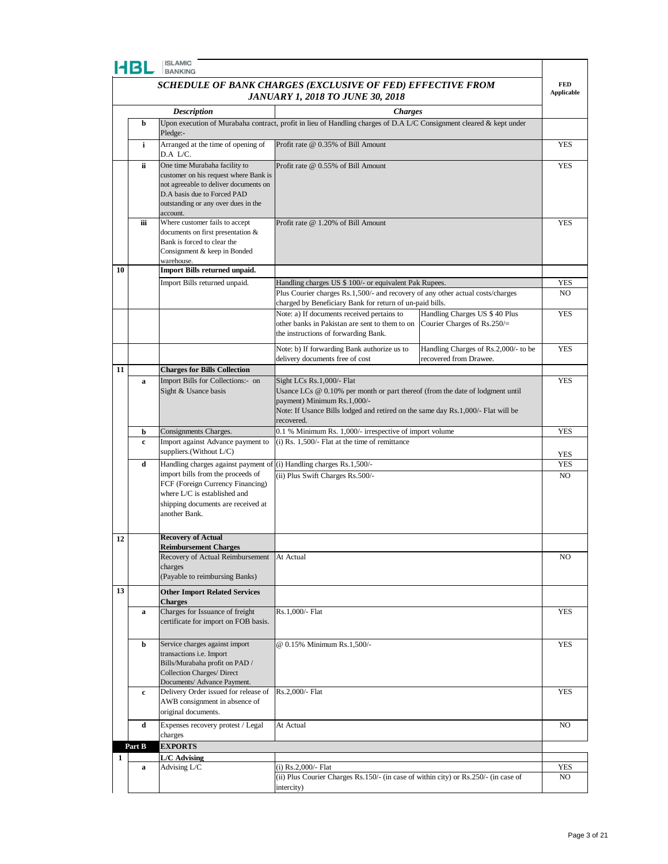|                                                            | HBL                                     | <b>ISLAMIC</b><br><b>BANKING</b>                                      |                                                                                                                                            |                                      |            |
|------------------------------------------------------------|-----------------------------------------|-----------------------------------------------------------------------|--------------------------------------------------------------------------------------------------------------------------------------------|--------------------------------------|------------|
| SCHEDULE OF BANK CHARGES (EXCLUSIVE OF FED) EFFECTIVE FROM |                                         |                                                                       |                                                                                                                                            |                                      |            |
|                                                            | <b>JANUARY 1, 2018 TO JUNE 30, 2018</b> |                                                                       |                                                                                                                                            |                                      |            |
|                                                            |                                         | <b>Description</b>                                                    | <b>Charges</b>                                                                                                                             |                                      |            |
|                                                            | b                                       | Pledge:-                                                              | Upon execution of Murabaha contract, profit in lieu of Handling charges of D.A L/C Consignment cleared & kept under                        |                                      |            |
|                                                            | i                                       | Arranged at the time of opening of                                    | Profit rate @ 0.35% of Bill Amount                                                                                                         |                                      | <b>YES</b> |
|                                                            | ii.                                     | D.A L/C.<br>One time Murabaha facility to                             | Profit rate @ 0.55% of Bill Amount                                                                                                         |                                      |            |
|                                                            |                                         | customer on his request where Bank is                                 |                                                                                                                                            |                                      |            |
|                                                            |                                         | not agreeable to deliver documents on<br>D.A basis due to Forced PAD  |                                                                                                                                            |                                      |            |
|                                                            |                                         | outstanding or any over dues in the<br>account.                       |                                                                                                                                            |                                      |            |
|                                                            | iіi                                     | Where customer fails to accept                                        | Profit rate @ 1.20% of Bill Amount                                                                                                         |                                      | <b>YES</b> |
|                                                            |                                         | documents on first presentation &<br>Bank is forced to clear the      |                                                                                                                                            |                                      |            |
|                                                            |                                         | Consignment & keep in Bonded                                          |                                                                                                                                            |                                      |            |
| 10                                                         |                                         | warehouse.<br>Import Bills returned unpaid.                           |                                                                                                                                            |                                      |            |
|                                                            |                                         | Import Bills returned unpaid.                                         | Handling charges US \$ 100/- or equivalent Pak Rupees.                                                                                     |                                      | <b>YES</b> |
|                                                            |                                         |                                                                       | Plus Courier charges Rs.1,500/- and recovery of any other actual costs/charges<br>charged by Beneficiary Bank for return of un-paid bills. |                                      | NO.        |
|                                                            |                                         |                                                                       | Note: a) If documents received pertains to                                                                                                 | Handling Charges US \$40 Plus        | <b>YES</b> |
|                                                            |                                         |                                                                       | other banks in Pakistan are sent to them to on<br>the instructions of forwarding Bank.                                                     | Courier Charges of $Rs.250/=$        |            |
|                                                            |                                         |                                                                       | Note: b) If forwarding Bank authorize us to                                                                                                | Handling Charges of Rs.2,000/- to be | <b>YES</b> |
|                                                            |                                         |                                                                       | delivery documents free of cost                                                                                                            | recovered from Drawee.               |            |
| 11                                                         |                                         | <b>Charges for Bills Collection</b>                                   |                                                                                                                                            |                                      |            |
|                                                            | a                                       | Import Bills for Collections:- on<br>Sight & Usance basis             | Sight LCs Rs.1,000/- Flat<br>Usance LCs $@0.10\%$ per month or part thereof (from the date of lodgment until                               |                                      | <b>YES</b> |
|                                                            |                                         |                                                                       | payment) Minimum Rs.1,000/-                                                                                                                |                                      |            |
|                                                            |                                         |                                                                       | Note: If Usance Bills lodged and retired on the same day Rs.1,000/- Flat will be<br>recovered.                                             |                                      |            |
|                                                            | b                                       | Consignments Charges.                                                 | 0.1 % Minimum Rs. 1,000/- irrespective of import volume                                                                                    |                                      | <b>YES</b> |
|                                                            | c                                       | Import against Advance payment to<br>suppliers.(Without L/C)          | $(i)$ Rs. 1,500/- Flat at the time of remittance                                                                                           |                                      | YES        |
|                                                            | d                                       | Handling charges against payment of (i) Handling charges Rs.1,500/-   |                                                                                                                                            |                                      | YES        |
|                                                            |                                         | import bills from the proceeds of<br>FCF (Foreign Currency Financing) | (ii) Plus Swift Charges Rs.500/-                                                                                                           |                                      | NO.        |
|                                                            |                                         | where L/C is established and                                          |                                                                                                                                            |                                      |            |
|                                                            |                                         | shipping documents are received at<br>another Bank.                   |                                                                                                                                            |                                      |            |
|                                                            |                                         |                                                                       |                                                                                                                                            |                                      |            |
| 12                                                         |                                         | <b>Recovery of Actual</b><br><b>Reimbursement Charges</b>             |                                                                                                                                            |                                      |            |
|                                                            |                                         | Recovery of Actual Reimbursement                                      | At Actual                                                                                                                                  |                                      | NO         |
|                                                            |                                         | charges<br>(Payable to reimbursing Banks)                             |                                                                                                                                            |                                      |            |
| 13                                                         |                                         | <b>Other Import Related Services</b>                                  |                                                                                                                                            |                                      |            |
|                                                            | $\mathbf a$                             | <b>Charges</b><br>Charges for Issuance of freight                     | Rs.1,000/- Flat                                                                                                                            |                                      | <b>YES</b> |
|                                                            |                                         | certificate for import on FOB basis.                                  |                                                                                                                                            |                                      |            |
|                                                            |                                         |                                                                       |                                                                                                                                            |                                      |            |
|                                                            | b                                       | Service charges against import<br>transactions i.e. Import            | @ 0.15% Minimum Rs.1,500/-                                                                                                                 |                                      | <b>YES</b> |
|                                                            |                                         | Bills/Murabaha profit on PAD /                                        |                                                                                                                                            |                                      |            |
|                                                            |                                         | <b>Collection Charges/ Direct</b><br>Documents/ Advance Payment.      |                                                                                                                                            |                                      |            |
|                                                            | c                                       | Delivery Order issued for release of<br>AWB consignment in absence of | Rs.2,000/- Flat                                                                                                                            |                                      | <b>YES</b> |
|                                                            |                                         | original documents.                                                   |                                                                                                                                            |                                      |            |
|                                                            | d                                       | Expenses recovery protest / Legal                                     | At Actual                                                                                                                                  |                                      | NO.        |
|                                                            | Part B                                  | charges<br><b>EXPORTS</b>                                             |                                                                                                                                            |                                      |            |
| 1                                                          |                                         | L/C Advising                                                          |                                                                                                                                            |                                      |            |
|                                                            | a                                       | Advising L/C                                                          | (i) Rs.2,000/- Flat<br>(ii) Plus Courier Charges Rs.150/- (in case of within city) or Rs.250/- (in case of                                 |                                      | YES<br>NO  |
|                                                            |                                         |                                                                       | intercity)                                                                                                                                 |                                      |            |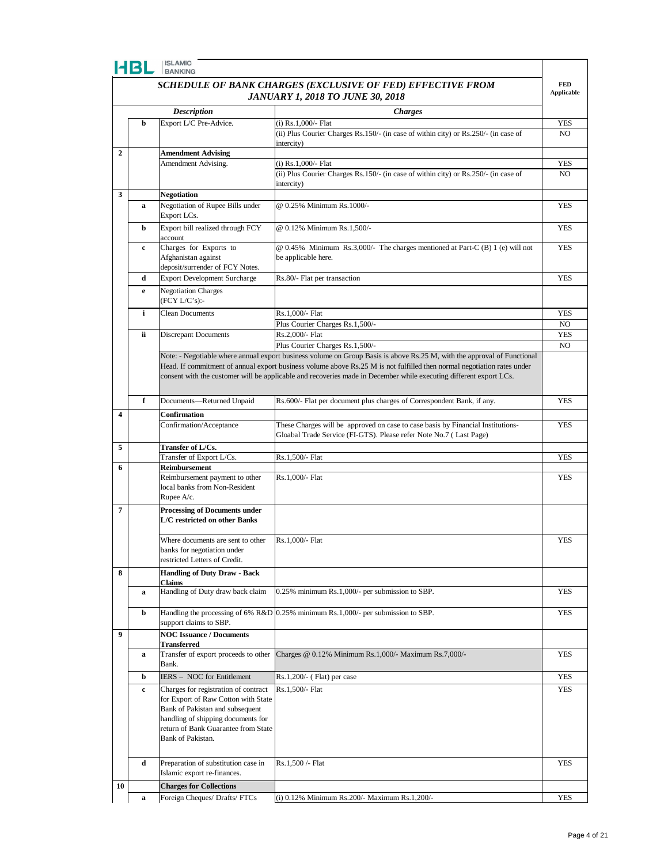|                                                                                 |    |                                                                             | SCHEDULE OF BANK CHARGES (EXCLUSIVE OF FED) EFFECTIVE FROM                                                              | <b>FED</b><br><b>Applicable</b> |
|---------------------------------------------------------------------------------|----|-----------------------------------------------------------------------------|-------------------------------------------------------------------------------------------------------------------------|---------------------------------|
| <b>JANUARY 1, 2018 TO JUNE 30, 2018</b><br><b>Description</b><br><b>Charges</b> |    |                                                                             |                                                                                                                         |                                 |
|                                                                                 |    |                                                                             |                                                                                                                         |                                 |
|                                                                                 | b  | Export L/C Pre-Advice.                                                      | (i) Rs.1,000/- Flat                                                                                                     | <b>YES</b>                      |
|                                                                                 |    |                                                                             | (ii) Plus Courier Charges Rs.150/- (in case of within city) or Rs.250/- (in case of<br>intercity)                       | N <sub>O</sub>                  |
| $\overline{2}$                                                                  |    | <b>Amendment Advising</b>                                                   |                                                                                                                         |                                 |
|                                                                                 |    | Amendment Advising.                                                         | (i) Rs.1,000/- Flat                                                                                                     | <b>YES</b>                      |
|                                                                                 |    |                                                                             | (ii) Plus Courier Charges Rs.150/- (in case of within city) or Rs.250/- (in case of                                     | N <sub>O</sub>                  |
|                                                                                 |    |                                                                             | intercity)                                                                                                              |                                 |
| 3                                                                               |    | <b>Negotiation</b>                                                          |                                                                                                                         |                                 |
|                                                                                 | a  | Negotiation of Rupee Bills under<br>Export LCs.                             | @ 0.25% Minimum Rs.1000/-                                                                                               | <b>YES</b>                      |
|                                                                                 | b  | Export bill realized through FCY                                            | @ 0.12% Minimum Rs.1,500/-                                                                                              | <b>YES</b>                      |
|                                                                                 |    | account                                                                     |                                                                                                                         |                                 |
|                                                                                 | c  | Charges for Exports to                                                      | $@0.45\%$ Minimum Rs.3,000/- The charges mentioned at Part-C (B) 1 (e) will not                                         | <b>YES</b>                      |
|                                                                                 |    | Afghanistan against                                                         | be applicable here.                                                                                                     |                                 |
|                                                                                 | d  | deposit/surrender of FCY Notes.                                             |                                                                                                                         | <b>YES</b>                      |
|                                                                                 |    | <b>Export Development Surcharge</b>                                         | Rs.80/- Flat per transaction                                                                                            |                                 |
|                                                                                 | e  | <b>Negotiation Charges</b><br>(FCY L/C's):                                  |                                                                                                                         |                                 |
|                                                                                 | i  | <b>Clean Documents</b>                                                      | Rs.1,000/- Flat                                                                                                         | <b>YES</b>                      |
|                                                                                 |    |                                                                             | Plus Courier Charges Rs.1,500/-                                                                                         | N <sub>O</sub>                  |
|                                                                                 | ii | <b>Discrepant Documents</b>                                                 | Rs.2,000/- Flat                                                                                                         | <b>YES</b>                      |
|                                                                                 |    |                                                                             | Plus Courier Charges Rs.1,500/-                                                                                         | N <sub>O</sub>                  |
|                                                                                 |    |                                                                             | Note: - Negotiable where annual export business volume on Group Basis is above Rs.25 M, with the approval of Functional |                                 |
|                                                                                 |    |                                                                             | Head. If commitment of annual export business volume above Rs.25 M is not fulfilled then normal negotiation rates under |                                 |
|                                                                                 |    |                                                                             | consent with the customer will be applicable and recoveries made in December while executing different export LCs.      |                                 |
|                                                                                 |    |                                                                             |                                                                                                                         |                                 |
|                                                                                 | f  | Documents-Returned Unpaid                                                   | Rs.600/- Flat per document plus charges of Correspondent Bank, if any.                                                  | <b>YES</b>                      |
| 4                                                                               |    | Confirmation                                                                |                                                                                                                         |                                 |
|                                                                                 |    | Confirmation/Acceptance                                                     | These Charges will be approved on case to case basis by Financial Institutions-                                         | <b>YES</b>                      |
|                                                                                 |    |                                                                             | Gloabal Trade Service (FI-GTS). Please refer Note No.7 (Last Page)                                                      |                                 |
| 5                                                                               |    | Transfer of L/Cs.<br>Transfer of Export L/Cs.                               | Rs.1,500/- Flat                                                                                                         | <b>YES</b>                      |
| 6                                                                               |    | Reimbursement                                                               |                                                                                                                         |                                 |
|                                                                                 |    | Reimbursement payment to other                                              | Rs.1,000/- Flat                                                                                                         | <b>YES</b>                      |
|                                                                                 |    | local banks from Non-Resident                                               |                                                                                                                         |                                 |
|                                                                                 |    | Rupee A/c.                                                                  |                                                                                                                         |                                 |
| $\overline{7}$                                                                  |    | <b>Processing of Documents under</b>                                        |                                                                                                                         |                                 |
|                                                                                 |    | L/C restricted on other Banks                                               |                                                                                                                         |                                 |
|                                                                                 |    | Where documents are sent to other                                           | Rs.1,000/- Flat                                                                                                         | YES                             |
|                                                                                 |    | banks for negotiation under                                                 |                                                                                                                         |                                 |
|                                                                                 |    | restricted Letters of Credit.                                               |                                                                                                                         |                                 |
| 8                                                                               |    | <b>Handling of Duty Draw - Back</b>                                         |                                                                                                                         |                                 |
|                                                                                 |    | Claims<br>Handling of Duty draw back claim                                  | 0.25% minimum Rs.1,000/- per submission to SBP.                                                                         |                                 |
|                                                                                 | a  |                                                                             |                                                                                                                         | <b>YES</b>                      |
|                                                                                 | b  | Handling the processing of 6% R&D                                           | 0.25% minimum Rs.1,000/- per submission to SBP.                                                                         | <b>YES</b>                      |
|                                                                                 |    | support claims to SBP.                                                      |                                                                                                                         |                                 |
| 9                                                                               |    | <b>NOC Issuance / Documents</b>                                             |                                                                                                                         |                                 |
|                                                                                 |    | <b>Transferred</b>                                                          |                                                                                                                         |                                 |
|                                                                                 | a  | Transfer of export proceeds to other<br>Bank.                               | Charges @ 0.12% Minimum Rs.1,000/- Maximum Rs.7,000/-                                                                   | <b>YES</b>                      |
|                                                                                 | b  | IERS - NOC for Entitlement                                                  | $Rs.1,200/(-$ (Flat) per case                                                                                           | <b>YES</b>                      |
|                                                                                 |    |                                                                             |                                                                                                                         |                                 |
|                                                                                 | c  | Charges for registration of contract<br>for Export of Raw Cotton with State | Rs.1,500/- Flat                                                                                                         | <b>YES</b>                      |
|                                                                                 |    | Bank of Pakistan and subsequent                                             |                                                                                                                         |                                 |
|                                                                                 |    | handling of shipping documents for                                          |                                                                                                                         |                                 |
|                                                                                 |    | return of Bank Guarantee from State                                         |                                                                                                                         |                                 |
|                                                                                 |    | Bank of Pakistan.                                                           |                                                                                                                         |                                 |
|                                                                                 |    |                                                                             |                                                                                                                         |                                 |
|                                                                                 | d  | Preparation of substitution case in                                         | Rs.1,500 /- Flat                                                                                                        | <b>YES</b>                      |
|                                                                                 |    | Islamic export re-finances.                                                 |                                                                                                                         |                                 |
| 10                                                                              |    | <b>Charges for Collections</b><br>Foreign Cheques/ Drafts/ FTCs             |                                                                                                                         | <b>YES</b>                      |
|                                                                                 | a  |                                                                             | (i) 0.12% Minimum Rs.200/- Maximum Rs.1,200/-                                                                           |                                 |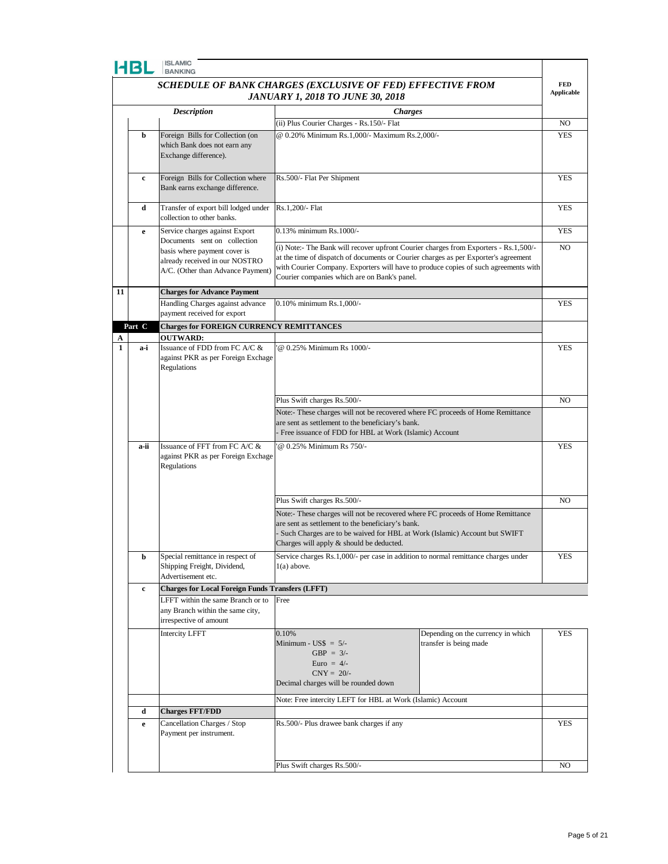

|                                                            | 4BI         | <b>ISLAMIC</b><br><b>BANKING</b>                                                                                                    |                                                                                                                                                                                                                                                                                                                    |            |
|------------------------------------------------------------|-------------|-------------------------------------------------------------------------------------------------------------------------------------|--------------------------------------------------------------------------------------------------------------------------------------------------------------------------------------------------------------------------------------------------------------------------------------------------------------------|------------|
| SCHEDULE OF BANK CHARGES (EXCLUSIVE OF FED) EFFECTIVE FROM |             |                                                                                                                                     |                                                                                                                                                                                                                                                                                                                    |            |
| <b>JANUARY 1, 2018 TO JUNE 30, 2018</b>                    |             |                                                                                                                                     |                                                                                                                                                                                                                                                                                                                    |            |
|                                                            |             | <b>Description</b>                                                                                                                  | <b>Charges</b>                                                                                                                                                                                                                                                                                                     |            |
|                                                            |             |                                                                                                                                     | (ii) Plus Courier Charges - Rs.150/- Flat                                                                                                                                                                                                                                                                          | NO         |
|                                                            | b           | Foreign Bills for Collection (on<br>which Bank does not earn any<br>Exchange difference).                                           | @ 0.20% Minimum Rs.1,000/- Maximum Rs.2,000/-                                                                                                                                                                                                                                                                      | YES        |
|                                                            | c           | Foreign Bills for Collection where<br>Bank earns exchange difference.                                                               | Rs.500/- Flat Per Shipment                                                                                                                                                                                                                                                                                         | <b>YES</b> |
|                                                            | d           | Transfer of export bill lodged under<br>collection to other banks.                                                                  | Rs.1,200/- Flat                                                                                                                                                                                                                                                                                                    | <b>YES</b> |
|                                                            | e           | Service charges against Export                                                                                                      | 0.13% minimum Rs.1000/-                                                                                                                                                                                                                                                                                            | <b>YES</b> |
|                                                            |             | Documents sent on collection<br>basis where payment cover is<br>already received in our NOSTRO<br>A/C. (Other than Advance Payment) | (i) Note:- The Bank will recover upfront Courier charges from Exporters - Rs.1,500/-<br>at the time of dispatch of documents or Courier charges as per Exporter's agreement<br>with Courier Company. Exporters will have to produce copies of such agreements with<br>Courier companies which are on Bank's panel. | NO         |
| 11                                                         |             | <b>Charges for Advance Payment</b>                                                                                                  |                                                                                                                                                                                                                                                                                                                    |            |
|                                                            |             | Handling Charges against advance<br>payment received for export                                                                     | 0.10% minimum Rs.1,000/-                                                                                                                                                                                                                                                                                           | <b>YES</b> |
|                                                            | Part C      | <b>Charges for FOREIGN CURRENCY REMITTANCES</b>                                                                                     |                                                                                                                                                                                                                                                                                                                    |            |
| $\mathbf{1}$                                               | a-i         | <b>OUTWARD:</b><br>Issuance of FDD from FC A/C &<br>against PKR as per Foreign Exchage<br>Regulations                               | @ 0.25% Minimum Rs 1000/-                                                                                                                                                                                                                                                                                          | <b>YES</b> |
|                                                            |             |                                                                                                                                     | Plus Swift charges Rs.500/-                                                                                                                                                                                                                                                                                        | NO         |
|                                                            |             |                                                                                                                                     | Note:- These charges will not be recovered where FC proceeds of Home Remittance<br>are sent as settlement to the beneficiary's bank.<br>Free issuance of FDD for HBL at Work (Islamic) Account                                                                                                                     |            |
|                                                            | a-ii        | Issuance of FFT from FC A/C &<br>against PKR as per Foreign Exchage<br>Regulations                                                  | @ 0.25% Minimum Rs 750/-                                                                                                                                                                                                                                                                                           | <b>YES</b> |
|                                                            |             |                                                                                                                                     | Plus Swift charges Rs.500/-                                                                                                                                                                                                                                                                                        | NO         |
|                                                            |             |                                                                                                                                     | Note:- These charges will not be recovered where FC proceeds of Home Remittance<br>are sent as settlement to the beneficiary's bank.<br>Such Charges are to be waived for HBL at Work (Islamic) Account but SWIFT<br>Charges will apply & should be deducted.                                                      |            |
|                                                            | b           | Special remittance in respect of<br>Shipping Freight, Dividend,<br>Advertisement etc.                                               | Service charges Rs.1,000/- per case in addition to normal remittance charges under<br>$1(a)$ above.                                                                                                                                                                                                                | YES        |
|                                                            | c           | <b>Charges for Local Foreign Funds Transfers (LFFT)</b>                                                                             |                                                                                                                                                                                                                                                                                                                    |            |
|                                                            |             | LFFT within the same Branch or to<br>any Branch within the same city,<br>irrespective of amount                                     | Free                                                                                                                                                                                                                                                                                                               |            |
|                                                            |             | <b>Intercity LFFT</b>                                                                                                               | 0.10%<br>Depending on the currency in which<br>Minimum - $\text{USS} = 5/-$<br>transfer is being made<br>GBP = $3/-$<br>Euro = $4/-$<br>$CNY = 20/$ -<br>Decimal charges will be rounded down<br>Note: Free intercity LEFT for HBL at Work (Islamic) Account                                                       | <b>YES</b> |
|                                                            | d           | <b>Charges FFT/FDD</b>                                                                                                              |                                                                                                                                                                                                                                                                                                                    |            |
|                                                            | $\mathbf e$ | Cancellation Charges / Stop<br>Payment per instrument.                                                                              | Rs.500/- Plus drawee bank charges if any                                                                                                                                                                                                                                                                           | <b>YES</b> |
|                                                            |             |                                                                                                                                     | Plus Swift charges Rs.500/-                                                                                                                                                                                                                                                                                        | NO         |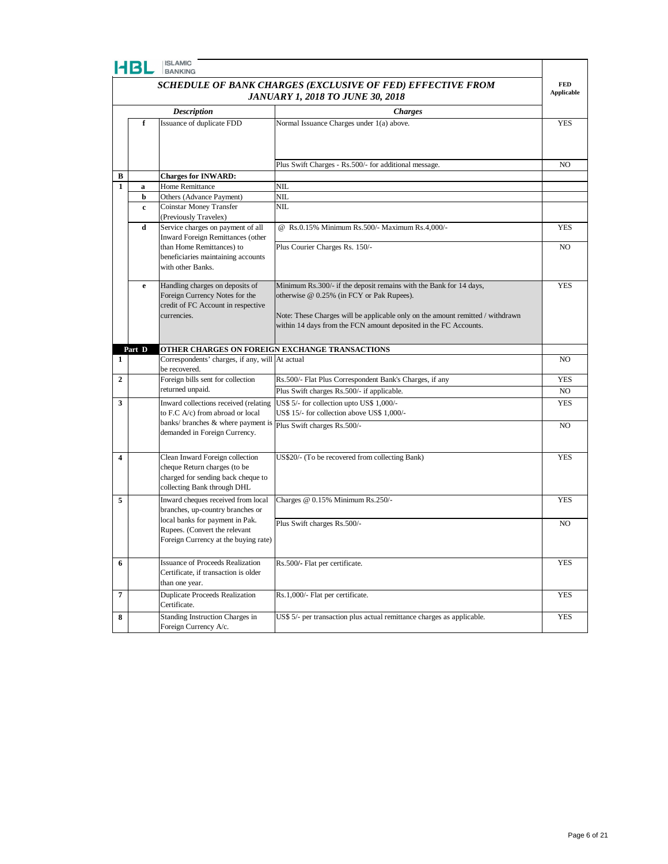|                                                                                                       | EBI    | <b>ISLAMIC</b><br><b>BANKING</b>                                                                                                     |                                                                                                                                                                                                                                                                       |                |
|-------------------------------------------------------------------------------------------------------|--------|--------------------------------------------------------------------------------------------------------------------------------------|-----------------------------------------------------------------------------------------------------------------------------------------------------------------------------------------------------------------------------------------------------------------------|----------------|
| SCHEDULE OF BANK CHARGES (EXCLUSIVE OF FED) EFFECTIVE FROM<br><b>JANUARY 1, 2018 TO JUNE 30, 2018</b> |        |                                                                                                                                      |                                                                                                                                                                                                                                                                       |                |
|                                                                                                       |        | <b>Description</b>                                                                                                                   | <b>Charges</b>                                                                                                                                                                                                                                                        |                |
|                                                                                                       | f      | Issuance of duplicate FDD                                                                                                            | Normal Issuance Charges under 1(a) above.                                                                                                                                                                                                                             | <b>YES</b>     |
|                                                                                                       |        |                                                                                                                                      |                                                                                                                                                                                                                                                                       | NO             |
| В                                                                                                     |        | <b>Charges for INWARD:</b>                                                                                                           | Plus Swift Charges - Rs.500/- for additional message.                                                                                                                                                                                                                 |                |
| $\mathbf{1}$                                                                                          | a      | Home Remittance                                                                                                                      | NIL                                                                                                                                                                                                                                                                   |                |
|                                                                                                       | b      | Others (Advance Payment)                                                                                                             | NIL                                                                                                                                                                                                                                                                   |                |
|                                                                                                       | c      | Coinstar Money Transfer<br>(Previously Travelex)                                                                                     | <b>NIL</b>                                                                                                                                                                                                                                                            |                |
|                                                                                                       | d      | Service charges on payment of all<br>Inward Foreign Remittances (other                                                               | @ Rs.0.15% Minimum Rs.500/- Maximum Rs.4,000/-                                                                                                                                                                                                                        | <b>YES</b>     |
|                                                                                                       |        | than Home Remittances) to<br>beneficiaries maintaining accounts<br>with other Banks.                                                 | Plus Courier Charges Rs. 150/-                                                                                                                                                                                                                                        | NO.            |
|                                                                                                       | e      | Handling charges on deposits of<br>Foreign Currency Notes for the<br>credit of FC Account in respective<br>currencies.               | Minimum Rs.300/- if the deposit remains with the Bank for 14 days,<br>otherwise @ 0.25% (in FCY or Pak Rupees).<br>Note: These Charges will be applicable only on the amount remitted / withdrawn<br>within 14 days from the FCN amount deposited in the FC Accounts. | <b>YES</b>     |
|                                                                                                       | Part D |                                                                                                                                      | OTHER CHARGES ON FOREIGN EXCHANGE TRANSACTIONS                                                                                                                                                                                                                        |                |
| 1                                                                                                     |        | Correspondents' charges, if any, will At actual<br>be recovered.                                                                     |                                                                                                                                                                                                                                                                       | N <sub>O</sub> |
| $\mathbf{2}$                                                                                          |        | Foreign bills sent for collection                                                                                                    | Rs.500/- Flat Plus Correspondent Bank's Charges, if any                                                                                                                                                                                                               | <b>YES</b>     |
|                                                                                                       |        | returned unpaid.                                                                                                                     | Plus Swift charges Rs.500/- if applicable.                                                                                                                                                                                                                            | NO.            |
| 3                                                                                                     |        | Inward collections received (relating<br>to F.C A/c) from abroad or local                                                            | US\$ 5/- for collection upto US\$ 1,000/-<br>US\$ 15/- for collection above US\$ 1,000/-                                                                                                                                                                              | <b>YES</b>     |
|                                                                                                       |        | banks/ branches & where payment is<br>demanded in Foreign Currency.                                                                  | Plus Swift charges Rs.500/-                                                                                                                                                                                                                                           | NO.            |
| 4                                                                                                     |        | Clean Inward Foreign collection<br>cheque Return charges (to be<br>charged for sending back cheque to<br>collecting Bank through DHL | US\$20/- (To be recovered from collecting Bank)                                                                                                                                                                                                                       | <b>YES</b>     |
| 5                                                                                                     |        | Inward cheques received from local<br>branches, up-country branches or                                                               | Charges @ 0.15% Minimum Rs.250/-                                                                                                                                                                                                                                      | <b>YES</b>     |
|                                                                                                       |        | local banks for payment in Pak.<br>Rupees. (Convert the relevant<br>Foreign Currency at the buying rate)                             | Plus Swift charges Rs.500/-                                                                                                                                                                                                                                           | NO.            |
| 6                                                                                                     |        | <b>Issuance of Proceeds Realization</b><br>Certificate, if transaction is older<br>than one year.                                    | Rs.500/- Flat per certificate.                                                                                                                                                                                                                                        | <b>YES</b>     |
| $\overline{7}$                                                                                        |        | <b>Duplicate Proceeds Realization</b><br>Certificate.                                                                                | Rs.1,000/- Flat per certificate.                                                                                                                                                                                                                                      | <b>YES</b>     |
| 8                                                                                                     |        | Standing Instruction Charges in<br>Foreign Currency A/c.                                                                             | US\$ 5/- per transaction plus actual remittance charges as applicable.                                                                                                                                                                                                | <b>YES</b>     |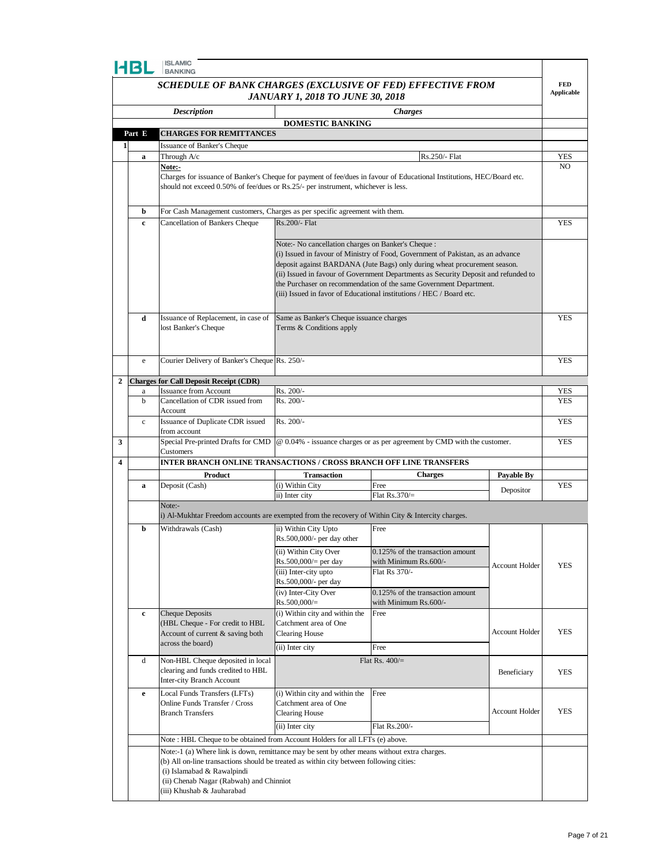|                                                            | HBL                                      | <b>ISLAMIC</b><br>BANKING                                                                                                                                                                      |                                                                                  |                                                                                                                                                                                                                                                                                                                                                                                                                                                          |                       |                   |  |  |
|------------------------------------------------------------|------------------------------------------|------------------------------------------------------------------------------------------------------------------------------------------------------------------------------------------------|----------------------------------------------------------------------------------|----------------------------------------------------------------------------------------------------------------------------------------------------------------------------------------------------------------------------------------------------------------------------------------------------------------------------------------------------------------------------------------------------------------------------------------------------------|-----------------------|-------------------|--|--|
| SCHEDULE OF BANK CHARGES (EXCLUSIVE OF FED) EFFECTIVE FROM |                                          |                                                                                                                                                                                                |                                                                                  |                                                                                                                                                                                                                                                                                                                                                                                                                                                          |                       | <b>FED</b>        |  |  |
|                                                            |                                          |                                                                                                                                                                                                | <b>JANUARY 1, 2018 TO JUNE 30, 2018</b>                                          |                                                                                                                                                                                                                                                                                                                                                                                                                                                          |                       | <b>Applicable</b> |  |  |
|                                                            |                                          | <b>Description</b>                                                                                                                                                                             | <b>DOMESTIC BANKING</b>                                                          | <b>Charges</b>                                                                                                                                                                                                                                                                                                                                                                                                                                           |                       |                   |  |  |
|                                                            | <b>CHARGES FOR REMITTANCES</b><br>Part E |                                                                                                                                                                                                |                                                                                  |                                                                                                                                                                                                                                                                                                                                                                                                                                                          |                       |                   |  |  |
| 1                                                          |                                          | Issuance of Banker's Cheque                                                                                                                                                                    |                                                                                  |                                                                                                                                                                                                                                                                                                                                                                                                                                                          |                       |                   |  |  |
|                                                            | a                                        | Through A/c                                                                                                                                                                                    |                                                                                  | Rs.250/- Flat                                                                                                                                                                                                                                                                                                                                                                                                                                            |                       | YES               |  |  |
|                                                            |                                          | Note:-<br>should not exceed 0.50% of fee/dues or Rs.25/- per instrument, whichever is less.                                                                                                    |                                                                                  | Charges for issuance of Banker's Cheque for payment of fee/dues in favour of Educational Institutions, HEC/Board etc.                                                                                                                                                                                                                                                                                                                                    |                       | N <sub>O</sub>    |  |  |
|                                                            |                                          |                                                                                                                                                                                                |                                                                                  |                                                                                                                                                                                                                                                                                                                                                                                                                                                          |                       |                   |  |  |
|                                                            | b                                        | For Cash Management customers, Charges as per specific agreement with them.                                                                                                                    |                                                                                  |                                                                                                                                                                                                                                                                                                                                                                                                                                                          |                       |                   |  |  |
|                                                            | c                                        | Cancellation of Bankers Cheque                                                                                                                                                                 | Rs.200/- Flat                                                                    |                                                                                                                                                                                                                                                                                                                                                                                                                                                          |                       | YES               |  |  |
|                                                            |                                          |                                                                                                                                                                                                |                                                                                  | Note:- No cancellation charges on Banker's Cheque :<br>(i) Issued in favour of Ministry of Food, Government of Pakistan, as an advance<br>deposit against BARDANA (Jute Bags) only during wheat procurement season.<br>(ii) Issued in favour of Government Departments as Security Deposit and refunded to<br>the Purchaser on recommendation of the same Government Department.<br>(iii) Issued in favor of Educational institutions / HEC / Board etc. |                       |                   |  |  |
|                                                            | d                                        | Issuance of Replacement, in case of<br>lost Banker's Cheque                                                                                                                                    | Same as Banker's Cheque issuance charges<br>Terms & Conditions apply             |                                                                                                                                                                                                                                                                                                                                                                                                                                                          |                       | <b>YES</b>        |  |  |
|                                                            | e                                        | Courier Delivery of Banker's Cheque Rs. 250/-                                                                                                                                                  |                                                                                  |                                                                                                                                                                                                                                                                                                                                                                                                                                                          |                       | <b>YES</b>        |  |  |
| 2                                                          |                                          | <b>Charges for Call Deposit Receipt (CDR)</b>                                                                                                                                                  |                                                                                  |                                                                                                                                                                                                                                                                                                                                                                                                                                                          |                       |                   |  |  |
|                                                            | a                                        | <b>Issuance from Account</b>                                                                                                                                                                   | Rs. 200/-                                                                        |                                                                                                                                                                                                                                                                                                                                                                                                                                                          |                       | YES               |  |  |
|                                                            | b                                        | Cancellation of CDR issued from<br>Account                                                                                                                                                     | Rs. 200/-                                                                        |                                                                                                                                                                                                                                                                                                                                                                                                                                                          | <b>YES</b>            |                   |  |  |
|                                                            | $\mathbf c$                              | Issuance of Duplicate CDR issued                                                                                                                                                               | Rs. 200/-                                                                        |                                                                                                                                                                                                                                                                                                                                                                                                                                                          |                       | <b>YES</b>        |  |  |
| 3                                                          |                                          | from account<br>Special Pre-printed Drafts for CMD<br>Customers                                                                                                                                |                                                                                  | @ 0.04% - issuance charges or as per agreement by CMD with the customer.                                                                                                                                                                                                                                                                                                                                                                                 |                       | <b>YES</b>        |  |  |
| 4                                                          |                                          | INTER BRANCH ONLINE TRANSACTIONS / CROSS BRANCH OFF LINE TRANSFERS                                                                                                                             |                                                                                  |                                                                                                                                                                                                                                                                                                                                                                                                                                                          |                       |                   |  |  |
|                                                            |                                          | <b>Product</b>                                                                                                                                                                                 | <b>Transaction</b>                                                               | <b>Charges</b>                                                                                                                                                                                                                                                                                                                                                                                                                                           | Payable By            |                   |  |  |
|                                                            | a                                        | Deposit (Cash)                                                                                                                                                                                 | (i) Within City                                                                  | Free                                                                                                                                                                                                                                                                                                                                                                                                                                                     | Depositor             | <b>YES</b>        |  |  |
|                                                            |                                          | Note:-                                                                                                                                                                                         | ii) Inter city                                                                   | Flat $Rs.370/-$                                                                                                                                                                                                                                                                                                                                                                                                                                          |                       |                   |  |  |
|                                                            |                                          | i) Al-Mukhtar Freedom accounts are exempted from the recovery of Within City $\&$ Intercity charges.                                                                                           |                                                                                  |                                                                                                                                                                                                                                                                                                                                                                                                                                                          |                       |                   |  |  |
|                                                            | b                                        | Withdrawals (Cash)                                                                                                                                                                             | ii) Within City Upto<br>Rs.500,000/- per day other                               | Free                                                                                                                                                                                                                                                                                                                                                                                                                                                     |                       |                   |  |  |
|                                                            |                                          |                                                                                                                                                                                                | (ii) Within City Over                                                            | 0.125% of the transaction amount                                                                                                                                                                                                                                                                                                                                                                                                                         |                       |                   |  |  |
|                                                            |                                          |                                                                                                                                                                                                | $Rs.500,000/=$ per day<br>(iii) Inter-city upto                                  | with Minimum Rs.600/-<br>Flat Rs 370/-                                                                                                                                                                                                                                                                                                                                                                                                                   | <b>Account Holder</b> | <b>YES</b>        |  |  |
|                                                            |                                          |                                                                                                                                                                                                | Rs.500,000/- per day                                                             |                                                                                                                                                                                                                                                                                                                                                                                                                                                          |                       |                   |  |  |
|                                                            |                                          |                                                                                                                                                                                                | (iv) Inter-City Over<br>$Rs.500,000/=$                                           | 0.125% of the transaction amount<br>with Minimum Rs.600/-                                                                                                                                                                                                                                                                                                                                                                                                |                       |                   |  |  |
|                                                            | $\mathbf c$                              | <b>Cheque Deposits</b><br>(HBL Cheque - For credit to HBL<br>Account of current & saving both                                                                                                  | (i) Within city and within the<br>Catchment area of One<br><b>Clearing House</b> | Free                                                                                                                                                                                                                                                                                                                                                                                                                                                     | Account Holder        | <b>YES</b>        |  |  |
|                                                            |                                          | across the board)                                                                                                                                                                              | (ii) Inter city                                                                  | Free                                                                                                                                                                                                                                                                                                                                                                                                                                                     |                       |                   |  |  |
|                                                            | d                                        | Non-HBL Cheque deposited in local<br>clearing and funds credited to HBL<br>Inter-city Branch Account                                                                                           |                                                                                  | Flat Rs. $400/$ =                                                                                                                                                                                                                                                                                                                                                                                                                                        | Beneficiary           | <b>YES</b>        |  |  |
|                                                            | e                                        | Local Funds Transfers (LFTs)<br>Online Funds Transfer / Cross<br><b>Branch Transfers</b>                                                                                                       | (i) Within city and within the<br>Catchment area of One<br><b>Clearing House</b> | Free                                                                                                                                                                                                                                                                                                                                                                                                                                                     | <b>Account Holder</b> | <b>YES</b>        |  |  |
|                                                            |                                          | Note: HBL Cheque to be obtained from Account Holders for all LFTs (e) above.                                                                                                                   | (ii) Inter city                                                                  | Flat Rs.200/-                                                                                                                                                                                                                                                                                                                                                                                                                                            |                       |                   |  |  |
|                                                            |                                          | Note:-1 (a) Where link is down, remittance may be sent by other means without extra charges.                                                                                                   |                                                                                  |                                                                                                                                                                                                                                                                                                                                                                                                                                                          |                       |                   |  |  |
|                                                            |                                          | (b) All on-line transactions should be treated as within city between following cities:<br>(i) Islamabad & Rawalpindi<br>(ii) Chenab Nagar (Rabwah) and Chinniot<br>(iii) Khushab & Jauharabad |                                                                                  |                                                                                                                                                                                                                                                                                                                                                                                                                                                          |                       |                   |  |  |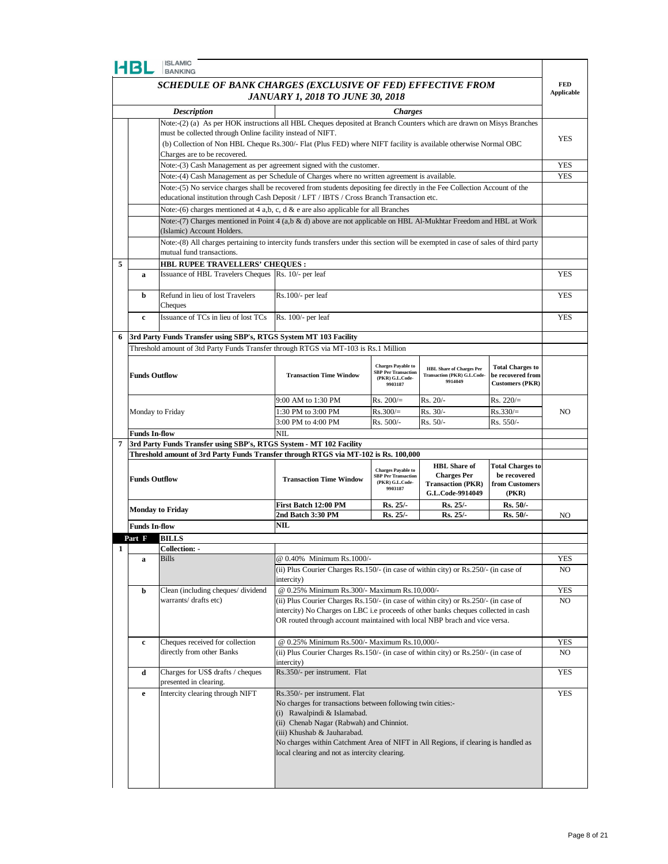|   | <b>ISLAMIC</b><br>HBL<br><b>BANKING</b>                                                       |                                                                                                                                                            |                                                                                                                                                                 |                                                         |                                        |                                             |            |
|---|-----------------------------------------------------------------------------------------------|------------------------------------------------------------------------------------------------------------------------------------------------------------|-----------------------------------------------------------------------------------------------------------------------------------------------------------------|---------------------------------------------------------|----------------------------------------|---------------------------------------------|------------|
|   | SCHEDULE OF BANK CHARGES (EXCLUSIVE OF FED) EFFECTIVE FROM                                    |                                                                                                                                                            |                                                                                                                                                                 |                                                         |                                        | <b>FED</b>                                  |            |
|   | <b>JANUARY 1, 2018 TO JUNE 30, 2018</b>                                                       |                                                                                                                                                            |                                                                                                                                                                 |                                                         |                                        | <b>Applicable</b>                           |            |
|   | <b>Description</b><br><b>Charges</b>                                                          |                                                                                                                                                            |                                                                                                                                                                 |                                                         |                                        |                                             |            |
|   |                                                                                               | Note:-(2) (a) As per HOK instructions all HBL Cheques deposited at Branch Counters which are drawn on Misys Branches                                       |                                                                                                                                                                 |                                                         |                                        |                                             |            |
|   |                                                                                               | must be collected through Online facility instead of NIFT.                                                                                                 |                                                                                                                                                                 |                                                         |                                        |                                             |            |
|   |                                                                                               | (b) Collection of Non HBL Cheque Rs.300/- Flat (Plus FED) where NIFT facility is available otherwise Normal OBC                                            |                                                                                                                                                                 |                                                         |                                        |                                             | YES        |
|   |                                                                                               | Charges are to be recovered.                                                                                                                               |                                                                                                                                                                 |                                                         |                                        |                                             |            |
|   |                                                                                               | Note:-(3) Cash Management as per agreement signed with the customer.                                                                                       |                                                                                                                                                                 |                                                         |                                        |                                             | <b>YES</b> |
|   | Note:-(4) Cash Management as per Schedule of Charges where no written agreement is available. |                                                                                                                                                            |                                                                                                                                                                 |                                                         |                                        | <b>YES</b>                                  |            |
|   |                                                                                               | Note:-(5) No service charges shall be recovered from students depositing fee directly in the Fee Collection Account of the                                 |                                                                                                                                                                 |                                                         |                                        |                                             |            |
|   |                                                                                               | educational institution through Cash Deposit / LFT / IBTS / Cross Branch Transaction etc.                                                                  |                                                                                                                                                                 |                                                         |                                        |                                             |            |
|   |                                                                                               | Note:-(6) charges mentioned at 4 a,b, c, d & e are also applicable for all Branches                                                                        |                                                                                                                                                                 |                                                         |                                        |                                             |            |
|   |                                                                                               | Note:-(7) Charges mentioned in Point 4 (a,b & d) above are not applicable on HBL Al-Mukhtar Freedom and HBL at Work<br>(Islamic) Account Holders.          |                                                                                                                                                                 |                                                         |                                        |                                             |            |
|   |                                                                                               | Note:-(8) All charges pertaining to intercity funds transfers under this section will be exempted in case of sales of third party                          |                                                                                                                                                                 |                                                         |                                        |                                             |            |
|   |                                                                                               | mutual fund transactions.                                                                                                                                  |                                                                                                                                                                 |                                                         |                                        |                                             |            |
| 5 |                                                                                               | <b>HBL RUPEE TRAVELLERS' CHEQUES :</b>                                                                                                                     |                                                                                                                                                                 |                                                         |                                        |                                             |            |
|   | a                                                                                             | Issuance of HBL Travelers Cheques Rs. 10/- per leaf                                                                                                        |                                                                                                                                                                 |                                                         |                                        |                                             | <b>YES</b> |
|   |                                                                                               |                                                                                                                                                            |                                                                                                                                                                 |                                                         |                                        |                                             |            |
|   | b                                                                                             | Refund in lieu of lost Travelers                                                                                                                           | $Rs.100/-$ per leaf                                                                                                                                             |                                                         |                                        |                                             | <b>YES</b> |
|   |                                                                                               | Cheques                                                                                                                                                    |                                                                                                                                                                 |                                                         |                                        |                                             |            |
|   | c                                                                                             | Issuance of TCs in lieu of lost TCs                                                                                                                        | Rs. 100/- per leaf                                                                                                                                              |                                                         |                                        |                                             | <b>YES</b> |
| 6 |                                                                                               |                                                                                                                                                            |                                                                                                                                                                 |                                                         |                                        |                                             |            |
|   |                                                                                               | 3rd Party Funds Transfer using SBP's, RTGS System MT 103 Facility<br>Threshold amount of 3td Party Funds Transfer through RTGS via MT-103 is Rs.1 Million  |                                                                                                                                                                 |                                                         |                                        |                                             |            |
|   |                                                                                               |                                                                                                                                                            |                                                                                                                                                                 |                                                         |                                        |                                             |            |
|   |                                                                                               |                                                                                                                                                            |                                                                                                                                                                 | <b>Charges Payable to</b><br><b>SBP Per Transaction</b> | <b>HBL Share of Charges Per</b>        | <b>Total Charges to</b>                     |            |
|   | <b>Funds Outflow</b>                                                                          |                                                                                                                                                            | <b>Transaction Time Window</b>                                                                                                                                  | (PKR) G.L.Code-<br>9903187                              | Transaction (PKR) G.L.Code-<br>9914049 | be recovered from<br><b>Customers (PKR)</b> |            |
|   |                                                                                               |                                                                                                                                                            |                                                                                                                                                                 |                                                         |                                        |                                             |            |
|   |                                                                                               |                                                                                                                                                            | 9:00 AM to 1:30 PM                                                                                                                                              | $Rs. 200/=$                                             | $Rs. 20/-$                             | $Rs. 220/=$                                 |            |
|   | Monday to Friday                                                                              |                                                                                                                                                            | 1:30 PM to 3:00 PM                                                                                                                                              | $Rs.300/=$                                              | Rs. 30/-                               | $Rs.330/=$                                  | NO.        |
|   |                                                                                               |                                                                                                                                                            | 3:00 PM to 4:00 PM                                                                                                                                              | Rs. 500/-                                               | $Rs. 50/-$                             | Rs. 550/-                                   |            |
| 7 | <b>Funds In-flow</b>                                                                          |                                                                                                                                                            | <b>NIL</b>                                                                                                                                                      |                                                         |                                        |                                             |            |
|   |                                                                                               | 3rd Party Funds Transfer using SBP's, RTGS System - MT 102 Facility<br>Threshold amount of 3rd Party Funds Transfer through RTGS via MT-102 is Rs. 100,000 |                                                                                                                                                                 |                                                         |                                        |                                             |            |
|   |                                                                                               |                                                                                                                                                            |                                                                                                                                                                 |                                                         | <b>HBL</b> Share of                    | <b>Total Charges to</b>                     |            |
|   | <b>Funds Outflow</b>                                                                          |                                                                                                                                                            |                                                                                                                                                                 | <b>Charges Payable to</b><br><b>SBP Per Transaction</b> | <b>Charges Per</b>                     | be recovered                                |            |
|   |                                                                                               |                                                                                                                                                            | <b>Transaction Time Window</b>                                                                                                                                  | (PKR) G.L.Code-<br>9903187                              | <b>Transaction (PKR)</b>               | from Customers                              |            |
|   |                                                                                               |                                                                                                                                                            |                                                                                                                                                                 |                                                         | G.L.Code-9914049                       | (PKR)                                       |            |
|   |                                                                                               | <b>Monday to Friday</b>                                                                                                                                    | First Batch 12:00 PM<br>2nd Batch 3:30 PM                                                                                                                       | $Rs. 25/-$<br><b>Rs. 25/-</b>                           | Rs. 25/-<br>Rs. 25/-                   | $Rs. 50/-$<br>Rs. 50/-                      | NO         |
|   | <b>Funds In-flow</b>                                                                          |                                                                                                                                                            | NIL                                                                                                                                                             |                                                         |                                        |                                             |            |
|   | Part F                                                                                        | <b>BILLS</b>                                                                                                                                               |                                                                                                                                                                 |                                                         |                                        |                                             |            |
|   |                                                                                               | <b>Collection: -</b>                                                                                                                                       |                                                                                                                                                                 |                                                         |                                        |                                             |            |
|   | a                                                                                             | <b>Bills</b>                                                                                                                                               | @ 0.40% Minimum Rs.1000/-                                                                                                                                       |                                                         |                                        |                                             | YES        |
|   |                                                                                               |                                                                                                                                                            | (ii) Plus Courier Charges Rs.150/- (in case of within city) or Rs.250/- (in case of                                                                             |                                                         |                                        |                                             | NO         |
|   |                                                                                               |                                                                                                                                                            | intercity)                                                                                                                                                      |                                                         |                                        |                                             |            |
|   | b                                                                                             | Clean (including cheques/dividend                                                                                                                          | @ 0.25% Minimum Rs.300/- Maximum Rs.10,000/-                                                                                                                    |                                                         |                                        |                                             | YES        |
|   |                                                                                               | warrants/ drafts etc)                                                                                                                                      | (ii) Plus Courier Charges Rs.150/- (in case of within city) or Rs.250/- (in case of                                                                             |                                                         |                                        |                                             | NO.        |
|   |                                                                                               |                                                                                                                                                            | intercity) No Charges on LBC i.e proceeds of other banks cheques collected in cash<br>OR routed through account maintained with local NBP brach and vice versa. |                                                         |                                        |                                             |            |
|   |                                                                                               |                                                                                                                                                            |                                                                                                                                                                 |                                                         |                                        |                                             |            |
|   | c                                                                                             | Cheques received for collection                                                                                                                            | @ 0.25% Minimum Rs.500/- Maximum Rs.10,000/-                                                                                                                    |                                                         |                                        |                                             | YES        |
|   |                                                                                               | directly from other Banks                                                                                                                                  | (ii) Plus Courier Charges Rs.150/- (in case of within city) or Rs.250/- (in case of                                                                             |                                                         |                                        |                                             | NO.        |
|   |                                                                                               |                                                                                                                                                            | intercity)                                                                                                                                                      |                                                         |                                        |                                             |            |
|   | d                                                                                             | Charges for US\$ drafts / cheques                                                                                                                          | Rs.350/- per instrument. Flat                                                                                                                                   |                                                         |                                        |                                             | YES        |
|   |                                                                                               | presented in clearing.                                                                                                                                     |                                                                                                                                                                 |                                                         |                                        |                                             |            |
|   | e                                                                                             | Intercity clearing through NIFT                                                                                                                            | Rs.350/- per instrument. Flat<br>No charges for transactions between following twin cities:-                                                                    |                                                         |                                        |                                             | YES        |
|   |                                                                                               |                                                                                                                                                            | (i) Rawalpindi & Islamabad.                                                                                                                                     |                                                         |                                        |                                             |            |
|   |                                                                                               |                                                                                                                                                            | (ii) Chenab Nagar (Rabwah) and Chinniot.                                                                                                                        |                                                         |                                        |                                             |            |
|   |                                                                                               |                                                                                                                                                            | (iii) Khushab & Jauharabad.                                                                                                                                     |                                                         |                                        |                                             |            |
|   |                                                                                               |                                                                                                                                                            | No charges within Catchment Area of NIFT in All Regions, if clearing is handled as                                                                              |                                                         |                                        |                                             |            |
|   |                                                                                               |                                                                                                                                                            | local clearing and not as intercity clearing.                                                                                                                   |                                                         |                                        |                                             |            |
|   |                                                                                               |                                                                                                                                                            |                                                                                                                                                                 |                                                         |                                        |                                             |            |
|   |                                                                                               |                                                                                                                                                            |                                                                                                                                                                 |                                                         |                                        |                                             |            |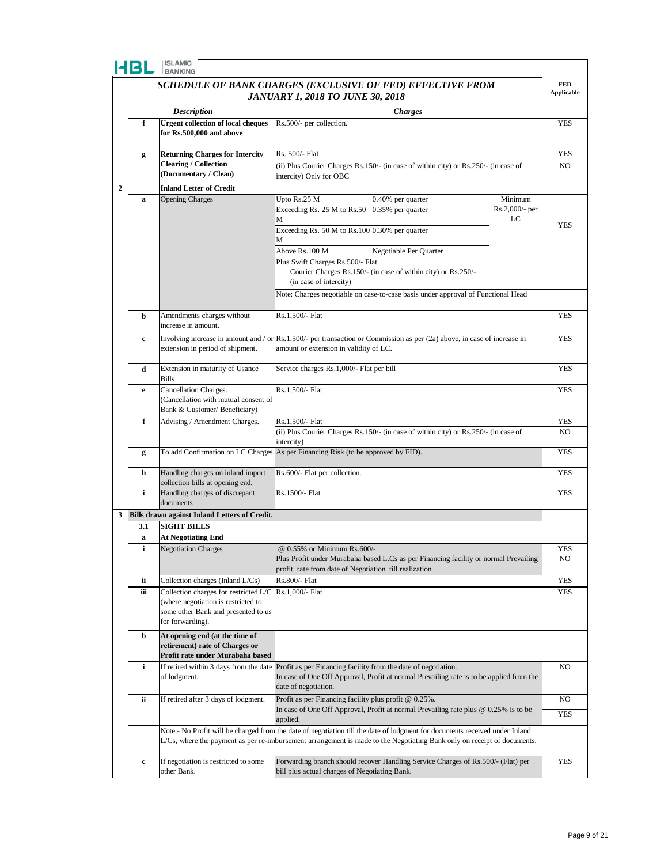| FIBI         | <b>ISLAMIC</b><br><b>BANKING</b>                                                                      |                                                                                                        |                                                                                                                                    |                       |                                 |
|--------------|-------------------------------------------------------------------------------------------------------|--------------------------------------------------------------------------------------------------------|------------------------------------------------------------------------------------------------------------------------------------|-----------------------|---------------------------------|
|              | SCHEDULE OF BANK CHARGES (EXCLUSIVE OF FED) EFFECTIVE FROM                                            |                                                                                                        |                                                                                                                                    |                       | <b>FED</b><br><b>Applicable</b> |
|              | <b>JANUARY 1, 2018 TO JUNE 30, 2018</b>                                                               |                                                                                                        |                                                                                                                                    |                       |                                 |
|              | <b>Description</b>                                                                                    |                                                                                                        | <b>Charges</b>                                                                                                                     |                       |                                 |
| f            | <b>Urgent collection of local cheques</b><br>for Rs.500,000 and above                                 | Rs.500/- per collection.                                                                               |                                                                                                                                    |                       | YES                             |
| g            | <b>Returning Charges for Intercity</b>                                                                | Rs. 500/- Flat                                                                                         |                                                                                                                                    |                       | YES                             |
|              | <b>Clearing / Collection</b>                                                                          |                                                                                                        | (ii) Plus Courier Charges Rs.150/- (in case of within city) or Rs.250/- (in case of                                                |                       | N <sub>O</sub>                  |
|              | (Documentary / Clean)                                                                                 | intercity) Only for OBC                                                                                |                                                                                                                                    |                       |                                 |
| $\mathbf{2}$ | <b>Inland Letter of Credit</b>                                                                        |                                                                                                        |                                                                                                                                    |                       |                                 |
| a            | <b>Opening Charges</b>                                                                                | Upto Rs.25 M                                                                                           | 0.40% per quarter                                                                                                                  | Minimum               |                                 |
|              |                                                                                                       | Exceeding Rs. 25 M to Rs.50                                                                            | 0.35% per quarter                                                                                                                  | Rs.2,000/- per<br>LC  |                                 |
|              |                                                                                                       | М<br>Exceeding Rs. 50 M to Rs. 100 0.30% per quarter                                                   |                                                                                                                                    |                       | YES                             |
|              |                                                                                                       |                                                                                                        |                                                                                                                                    |                       |                                 |
|              |                                                                                                       | Above Rs.100 M                                                                                         | Negotiable Per Quarter                                                                                                             |                       |                                 |
|              |                                                                                                       | Plus Swift Charges Rs.500/- Flat                                                                       |                                                                                                                                    |                       |                                 |
|              |                                                                                                       |                                                                                                        | Courier Charges Rs.150/- (in case of within city) or Rs.250/-                                                                      |                       |                                 |
|              |                                                                                                       | (in case of intercity)                                                                                 |                                                                                                                                    |                       |                                 |
|              |                                                                                                       |                                                                                                        | Note: Charges negotiable on case-to-case basis under approval of Functional Head                                                   |                       |                                 |
| b            | Amendments charges without                                                                            | Rs.1,500/- Flat                                                                                        |                                                                                                                                    |                       | <b>YES</b>                      |
|              | increase in amount.                                                                                   |                                                                                                        |                                                                                                                                    |                       |                                 |
| c            |                                                                                                       |                                                                                                        | Involving increase in amount and / or $\text{Rs}.1,500/$ - per transaction or Commission as per (2a) above, in case of increase in |                       | <b>YES</b>                      |
|              | extension in period of shipment.                                                                      | amount or extension in validity of LC.                                                                 |                                                                                                                                    |                       |                                 |
| d            | Extension in maturity of Usance                                                                       | Service charges Rs.1,000/- Flat per bill                                                               |                                                                                                                                    |                       | <b>YES</b>                      |
|              | Bills                                                                                                 |                                                                                                        |                                                                                                                                    |                       |                                 |
| e            | Cancellation Charges.                                                                                 | Rs.1,500/- Flat                                                                                        |                                                                                                                                    |                       | YES                             |
|              | (Cancellation with mutual consent of                                                                  |                                                                                                        |                                                                                                                                    |                       |                                 |
|              | Bank & Customer/ Beneficiary)                                                                         |                                                                                                        |                                                                                                                                    |                       |                                 |
| f            | Advising / Amendment Charges.                                                                         | Rs.1,500/- Flat<br>(ii) Plus Courier Charges Rs.150/- (in case of within city) or Rs.250/- (in case of |                                                                                                                                    | YES<br>N <sub>O</sub> |                                 |
|              |                                                                                                       | intercity)                                                                                             |                                                                                                                                    |                       |                                 |
| g            | To add Confirmation on LC Charges                                                                     | As per Financing Risk (to be approved by FID).                                                         |                                                                                                                                    |                       | <b>YES</b>                      |
|              |                                                                                                       |                                                                                                        |                                                                                                                                    |                       |                                 |
| h            | Handling charges on inland import<br>collection bills at opening end.                                 | Rs.600/- Flat per collection.                                                                          |                                                                                                                                    |                       | <b>YES</b>                      |
| i            | Handling charges of discrepant                                                                        | Rs.1500/- Flat                                                                                         |                                                                                                                                    |                       | <b>YES</b>                      |
|              | documents                                                                                             |                                                                                                        |                                                                                                                                    |                       |                                 |
| 3            | Bills drawn against Inland Letters of Credit.                                                         |                                                                                                        |                                                                                                                                    |                       |                                 |
| 3.1          | <b>SIGHT BILLS</b>                                                                                    |                                                                                                        |                                                                                                                                    |                       |                                 |
| a            | <b>At Negotiating End</b>                                                                             |                                                                                                        |                                                                                                                                    |                       |                                 |
| i            | <b>Negotiation Charges</b>                                                                            | @ 0.55% or Minimum Rs.600/-                                                                            | Plus Profit under Murabaha based L.Cs as per Financing facility or normal Prevailing                                               |                       | YES<br>NO                       |
|              |                                                                                                       | profit rate from date of Negotiation till realization.                                                 |                                                                                                                                    |                       |                                 |
| ii           | Collection charges (Inland L/Cs)                                                                      | Rs.800/- Flat                                                                                          |                                                                                                                                    |                       | YES                             |
| iіі          | Collection charges for restricted L/C                                                                 | Rs.1,000/- Flat                                                                                        |                                                                                                                                    |                       | YES                             |
|              | (where negotiation is restricted to                                                                   |                                                                                                        |                                                                                                                                    |                       |                                 |
|              | some other Bank and presented to us<br>for forwarding).                                               |                                                                                                        |                                                                                                                                    |                       |                                 |
|              |                                                                                                       |                                                                                                        |                                                                                                                                    |                       |                                 |
| b            | At opening end (at the time of<br>retirement) rate of Charges or<br>Profit rate under Murabaha based  |                                                                                                        |                                                                                                                                    |                       |                                 |
| i            | If retired within 3 days from the date Profit as per Financing facility from the date of negotiation. |                                                                                                        |                                                                                                                                    |                       | NO                              |
|              | of lodgment.                                                                                          | date of negotiation.                                                                                   | In case of One Off Approval, Profit at normal Prevailing rate is to be applied from the                                            |                       |                                 |
| ii.          | If retired after 3 days of lodgment.                                                                  | Profit as per Financing facility plus profit $@0.25\%$ .                                               |                                                                                                                                    |                       | NO                              |
|              |                                                                                                       |                                                                                                        | In case of One Off Approval, Profit at normal Prevailing rate plus $@$ 0.25% is to be                                              |                       | <b>YES</b>                      |
|              |                                                                                                       | applied.                                                                                               | Note:- No Profit will be charged from the date of negotiation till the date of lodgment for documents received under Inland        |                       |                                 |
|              |                                                                                                       |                                                                                                        | L/Cs, where the payment as per re-imbursement arrangement is made to the Negotiating Bank only on receipt of documents.            |                       |                                 |
| c            | If negotiation is restricted to some                                                                  |                                                                                                        | Forwarding branch should recover Handling Service Charges of Rs.500/- (Flat) per                                                   |                       | YES                             |
|              | other Bank.                                                                                           | bill plus actual charges of Negotiating Bank.                                                          |                                                                                                                                    |                       |                                 |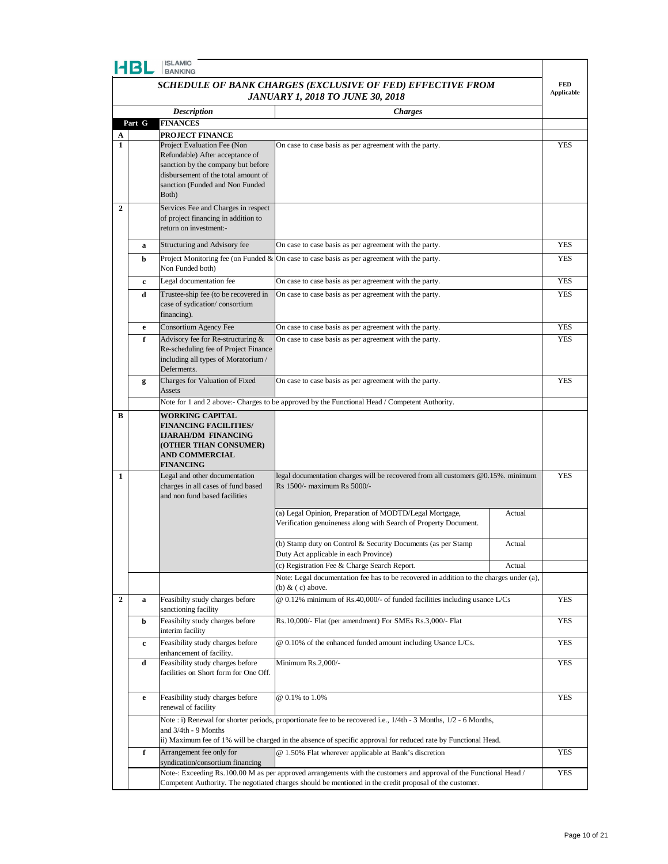|                  | HBL                                                                                                                                                                                                                           | <b>ISLAMIC</b><br><b>BANKING</b>                                                                                                                    |                                                                                                                                                                                                                                    |            |                                 |  |
|------------------|-------------------------------------------------------------------------------------------------------------------------------------------------------------------------------------------------------------------------------|-----------------------------------------------------------------------------------------------------------------------------------------------------|------------------------------------------------------------------------------------------------------------------------------------------------------------------------------------------------------------------------------------|------------|---------------------------------|--|
|                  |                                                                                                                                                                                                                               |                                                                                                                                                     | SCHEDULE OF BANK CHARGES (EXCLUSIVE OF FED) EFFECTIVE FROM                                                                                                                                                                         |            | <b>FED</b><br><b>Applicable</b> |  |
|                  | <b>JANUARY 1, 2018 TO JUNE 30, 2018</b>                                                                                                                                                                                       |                                                                                                                                                     |                                                                                                                                                                                                                                    |            |                                 |  |
|                  |                                                                                                                                                                                                                               | <b>Description</b>                                                                                                                                  | <b>Charges</b>                                                                                                                                                                                                                     |            |                                 |  |
| A                | Part G                                                                                                                                                                                                                        | <b>FINANCES</b><br>PROJECT FINANCE                                                                                                                  |                                                                                                                                                                                                                                    |            |                                 |  |
| 1                |                                                                                                                                                                                                                               | Project Evaluation Fee (Non                                                                                                                         | On case to case basis as per agreement with the party.                                                                                                                                                                             |            | <b>YES</b>                      |  |
|                  |                                                                                                                                                                                                                               | Refundable) After acceptance of<br>sanction by the company but before                                                                               |                                                                                                                                                                                                                                    |            |                                 |  |
|                  |                                                                                                                                                                                                                               | disbursement of the total amount of                                                                                                                 |                                                                                                                                                                                                                                    |            |                                 |  |
|                  |                                                                                                                                                                                                                               | sanction (Funded and Non Funded                                                                                                                     |                                                                                                                                                                                                                                    |            |                                 |  |
| $\overline{2}$   |                                                                                                                                                                                                                               | Both)<br>Services Fee and Charges in respect                                                                                                        |                                                                                                                                                                                                                                    |            |                                 |  |
|                  |                                                                                                                                                                                                                               | of project financing in addition to                                                                                                                 |                                                                                                                                                                                                                                    |            |                                 |  |
|                  |                                                                                                                                                                                                                               | return on investment:-                                                                                                                              |                                                                                                                                                                                                                                    |            |                                 |  |
|                  | a                                                                                                                                                                                                                             | Structuring and Advisory fee                                                                                                                        | On case to case basis as per agreement with the party.                                                                                                                                                                             |            | <b>YES</b>                      |  |
|                  | b                                                                                                                                                                                                                             | Non Funded both)                                                                                                                                    | Project Monitoring fee (on Funded $\&$ On case to case basis as per agreement with the party.                                                                                                                                      |            | <b>YES</b>                      |  |
|                  | c                                                                                                                                                                                                                             | Legal documentation fee                                                                                                                             | On case to case basis as per agreement with the party.                                                                                                                                                                             |            | <b>YES</b>                      |  |
|                  | Trustee-ship fee (to be recovered in<br>On case to case basis as per agreement with the party.<br>d<br>case of sydication/consortium                                                                                          |                                                                                                                                                     |                                                                                                                                                                                                                                    | <b>YES</b> |                                 |  |
|                  | e                                                                                                                                                                                                                             | financing).<br>Consortium Agency Fee                                                                                                                | On case to case basis as per agreement with the party.                                                                                                                                                                             |            | <b>YES</b>                      |  |
|                  | f                                                                                                                                                                                                                             | Advisory fee for Re-structuring &                                                                                                                   | On case to case basis as per agreement with the party.                                                                                                                                                                             |            | <b>YES</b>                      |  |
|                  |                                                                                                                                                                                                                               | Re-scheduling fee of Project Finance<br>including all types of Moratorium /<br>Deferments.                                                          |                                                                                                                                                                                                                                    |            |                                 |  |
|                  | g                                                                                                                                                                                                                             | Charges for Valuation of Fixed<br>Assets                                                                                                            | On case to case basis as per agreement with the party.                                                                                                                                                                             |            | <b>YES</b>                      |  |
|                  |                                                                                                                                                                                                                               |                                                                                                                                                     | Note for 1 and 2 above:- Charges to be approved by the Functional Head / Competent Authority.                                                                                                                                      |            |                                 |  |
| В                |                                                                                                                                                                                                                               | <b>WORKING CAPITAL</b><br><b>FINANCING FACILITIES/</b><br>IJARAH/DM FINANCING<br>(OTHER THAN CONSUMER)<br><b>AND COMMERCIAL</b><br><b>FINANCING</b> |                                                                                                                                                                                                                                    |            |                                 |  |
| 1                |                                                                                                                                                                                                                               | Legal and other documentation<br>charges in all cases of fund based<br>and non fund based facilities                                                | legal documentation charges will be recovered from all customers @0.15%. minimum<br>Rs 1500/- maximum Rs 5000/-                                                                                                                    |            | <b>YES</b>                      |  |
|                  |                                                                                                                                                                                                                               |                                                                                                                                                     | (a) Legal Opinion, Preparation of MODTD/Legal Mortgage,<br>Verification genuineness along with Search of Property Document.                                                                                                        | Actual     |                                 |  |
|                  |                                                                                                                                                                                                                               |                                                                                                                                                     | (b) Stamp duty on Control & Security Documents (as per Stamp<br>Duty Act applicable in each Province)                                                                                                                              | Actual     |                                 |  |
|                  |                                                                                                                                                                                                                               |                                                                                                                                                     | (c) Registration Fee & Charge Search Report.                                                                                                                                                                                       | Actual     |                                 |  |
|                  |                                                                                                                                                                                                                               |                                                                                                                                                     | Note: Legal documentation fee has to be recovered in addition to the charges under (a),<br>(b) $\&$ (c) above.                                                                                                                     |            |                                 |  |
| $\boldsymbol{2}$ | a                                                                                                                                                                                                                             | Feasibilty study charges before<br>sanctioning facility                                                                                             | $@$ 0.12% minimum of Rs.40,000/- of funded facilities including usance L/Cs                                                                                                                                                        |            | <b>YES</b>                      |  |
|                  | b                                                                                                                                                                                                                             | Feasibilty study charges before<br>interim facility                                                                                                 | Rs.10,000/- Flat (per amendment) For SMEs Rs.3,000/- Flat                                                                                                                                                                          |            | YES                             |  |
|                  | c                                                                                                                                                                                                                             | Feasibility study charges before<br>enhancement of facility.                                                                                        | @ 0.10% of the enhanced funded amount including Usance L/Cs.                                                                                                                                                                       |            | <b>YES</b>                      |  |
|                  | d                                                                                                                                                                                                                             | Feasibility study charges before<br>facilities on Short form for One Off.                                                                           | Minimum Rs.2,000/-                                                                                                                                                                                                                 |            | <b>YES</b>                      |  |
|                  | e                                                                                                                                                                                                                             | Feasibility study charges before<br>renewal of facility                                                                                             | @ 0.1% to 1.0%                                                                                                                                                                                                                     |            | YES                             |  |
|                  |                                                                                                                                                                                                                               | and 3/4th - 9 Months                                                                                                                                | Note : i) Renewal for shorter periods, proportionate fee to be recovered i.e., 1/4th - 3 Months, 1/2 - 6 Months,<br>ii) Maximum fee of 1% will be charged in the absence of specific approval for reduced rate by Functional Head. |            |                                 |  |
|                  | f                                                                                                                                                                                                                             | Arrangement fee only for                                                                                                                            | @ 1.50% Flat wherever applicable at Bank's discretion                                                                                                                                                                              |            | <b>YES</b>                      |  |
|                  |                                                                                                                                                                                                                               | syndication/consortium financing                                                                                                                    |                                                                                                                                                                                                                                    |            | <b>YES</b>                      |  |
|                  | Note-: Exceeding Rs.100.00 M as per approved arrangements with the customers and approval of the Functional Head /<br>Competent Authority. The negotiated charges should be mentioned in the credit proposal of the customer. |                                                                                                                                                     |                                                                                                                                                                                                                                    |            |                                 |  |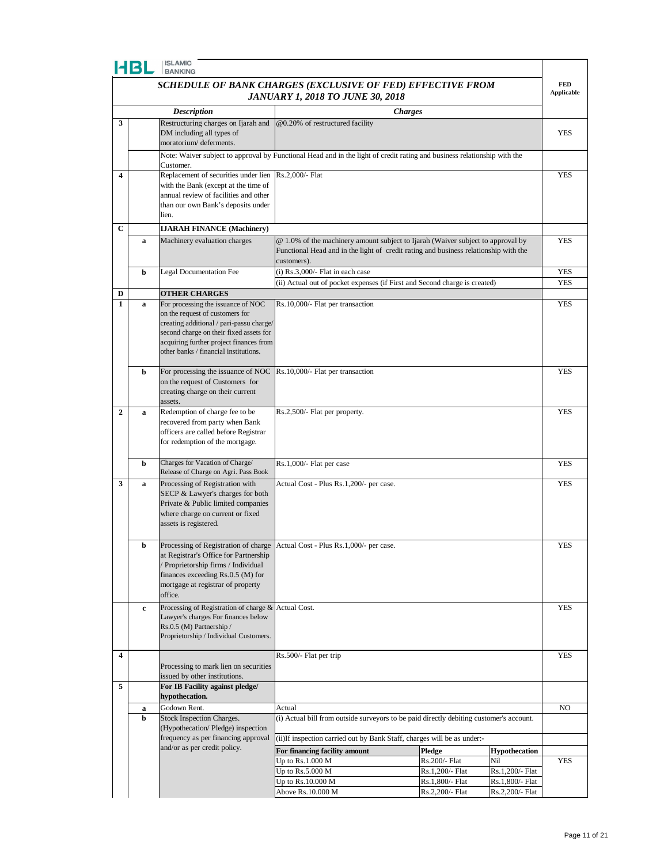|--|--|--|

|                                                            | HBL         | <b>ISLAMIC</b><br><b>BANKING</b>                                                                                                                                                                           |                                                                                                                                                                                        |                                    |                                    |                   |
|------------------------------------------------------------|-------------|------------------------------------------------------------------------------------------------------------------------------------------------------------------------------------------------------------|----------------------------------------------------------------------------------------------------------------------------------------------------------------------------------------|------------------------------------|------------------------------------|-------------------|
| SCHEDULE OF BANK CHARGES (EXCLUSIVE OF FED) EFFECTIVE FROM |             |                                                                                                                                                                                                            |                                                                                                                                                                                        |                                    | <b>FED</b>                         |                   |
|                                                            |             |                                                                                                                                                                                                            | <b>JANUARY 1, 2018 TO JUNE 30, 2018</b>                                                                                                                                                |                                    |                                    | <b>Applicable</b> |
|                                                            |             | <b>Description</b>                                                                                                                                                                                         | <b>Charges</b>                                                                                                                                                                         |                                    |                                    |                   |
| 3                                                          |             | Restructuring charges on Ijarah and<br>DM including all types of<br>moratorium/deferments.                                                                                                                 | @0.20% of restructured facility                                                                                                                                                        |                                    |                                    | YES               |
|                                                            |             | Customer.                                                                                                                                                                                                  | Note: Waiver subject to approval by Functional Head and in the light of credit rating and business relationship with the                                                               |                                    |                                    |                   |
| 4                                                          |             | Replacement of securities under lien                                                                                                                                                                       | Rs.2,000/- Flat                                                                                                                                                                        |                                    |                                    | <b>YES</b>        |
|                                                            |             | with the Bank (except at the time of<br>annual review of facilities and other                                                                                                                              |                                                                                                                                                                                        |                                    |                                    |                   |
|                                                            |             | than our own Bank's deposits under                                                                                                                                                                         |                                                                                                                                                                                        |                                    |                                    |                   |
|                                                            |             | lien.                                                                                                                                                                                                      |                                                                                                                                                                                        |                                    |                                    |                   |
| C                                                          |             | <b>IJARAH FINANCE (Machinery)</b>                                                                                                                                                                          |                                                                                                                                                                                        |                                    |                                    |                   |
|                                                            | a           | Machinery evaluation charges                                                                                                                                                                               | @ 1.0% of the machinery amount subject to Ijarah (Waiver subject to approval by<br>Functional Head and in the light of credit rating and business relationship with the<br>customers). |                                    |                                    | <b>YES</b>        |
|                                                            | b           | <b>Legal Documentation Fee</b>                                                                                                                                                                             | $(i)$ Rs.3,000/- Flat in each case                                                                                                                                                     |                                    |                                    | YES               |
|                                                            |             | <b>OTHER CHARGES</b>                                                                                                                                                                                       | (ii) Actual out of pocket expenses (if First and Second charge is created)                                                                                                             |                                    |                                    | <b>YES</b>        |
| D<br>1                                                     | $\mathbf a$ | For processing the issuance of NOC                                                                                                                                                                         | Rs.10,000/- Flat per transaction                                                                                                                                                       |                                    |                                    | <b>YES</b>        |
|                                                            |             | on the request of customers for<br>creating additional / pari-passu charge/<br>second charge on their fixed assets for<br>acquiring further project finances from<br>other banks / financial institutions. |                                                                                                                                                                                        |                                    |                                    |                   |
|                                                            | b           | For processing the issuance of NOC<br>on the request of Customers for<br>creating charge on their current<br>assets.                                                                                       | Rs.10,000/- Flat per transaction                                                                                                                                                       |                                    |                                    | <b>YES</b>        |
| $\overline{2}$                                             | $\mathbf a$ | Redemption of charge fee to be<br>recovered from party when Bank<br>officers are called before Registrar<br>for redemption of the mortgage.                                                                | Rs.2,500/- Flat per property.                                                                                                                                                          |                                    |                                    | <b>YES</b>        |
|                                                            | b           | Charges for Vacation of Charge/<br>Release of Charge on Agri. Pass Book                                                                                                                                    | Rs.1,000/- Flat per case                                                                                                                                                               |                                    |                                    | <b>YES</b>        |
| 3                                                          | a           | Processing of Registration with<br>SECP & Lawyer's charges for both<br>Private & Public limited companies<br>where charge on current or fixed<br>assets is registered.                                     | Actual Cost - Plus Rs.1,200/- per case.                                                                                                                                                |                                    |                                    | <b>YES</b>        |
|                                                            | b           |                                                                                                                                                                                                            | Processing of Registration of charge Actual Cost - Plus Rs.1,000/- per case.                                                                                                           |                                    |                                    | <b>YES</b>        |
|                                                            |             | at Registrar's Office for Partnership<br>/ Proprietorship firms / Individual<br>finances exceeding Rs.0.5 (M) for<br>mortgage at registrar of property<br>office.                                          |                                                                                                                                                                                        |                                    |                                    |                   |
|                                                            | c           | Processing of Registration of charge & Actual Cost.                                                                                                                                                        |                                                                                                                                                                                        |                                    |                                    | <b>YES</b>        |
|                                                            |             | Lawyer's charges For finances below<br>Rs.0.5 (M) Partnership /<br>Proprietorship / Individual Customers.                                                                                                  |                                                                                                                                                                                        |                                    |                                    |                   |
| 4                                                          |             | Processing to mark lien on securities<br>issued by other institutions.                                                                                                                                     | Rs.500/- Flat per trip                                                                                                                                                                 |                                    |                                    | <b>YES</b>        |
| 5                                                          |             | For IB Facility against pledge/                                                                                                                                                                            |                                                                                                                                                                                        |                                    |                                    |                   |
|                                                            | $\mathbf a$ | hypothecation.<br>Godown Rent.                                                                                                                                                                             | Actual                                                                                                                                                                                 |                                    |                                    | NO                |
|                                                            | b           | Stock Inspection Charges.                                                                                                                                                                                  | (i) Actual bill from outside surveyors to be paid directly debiting customer's account.                                                                                                |                                    |                                    |                   |
|                                                            |             | (Hypothecation/Pledge) inspection<br>frequency as per financing approval                                                                                                                                   | (ii) If inspection carried out by Bank Staff, charges will be as under:-                                                                                                               |                                    |                                    |                   |
|                                                            |             | and/or as per credit policy.                                                                                                                                                                               | For financing facility amount                                                                                                                                                          | Pledge                             | <b>Hypothecation</b>               |                   |
|                                                            |             |                                                                                                                                                                                                            | Up to Rs.1.000 M<br>Up to Rs.5.000 M                                                                                                                                                   | Rs.200/- Flat                      | Nil                                | YES               |
|                                                            |             |                                                                                                                                                                                                            | Up to Rs.10.000 M                                                                                                                                                                      | Rs.1,200/- Flat<br>Rs.1,800/- Flat | Rs.1,200/- Flat<br>Rs.1,800/- Flat |                   |
|                                                            |             |                                                                                                                                                                                                            | Above Rs.10.000 M                                                                                                                                                                      | Rs.2,200/- Flat                    | Rs.2,200/- Flat                    |                   |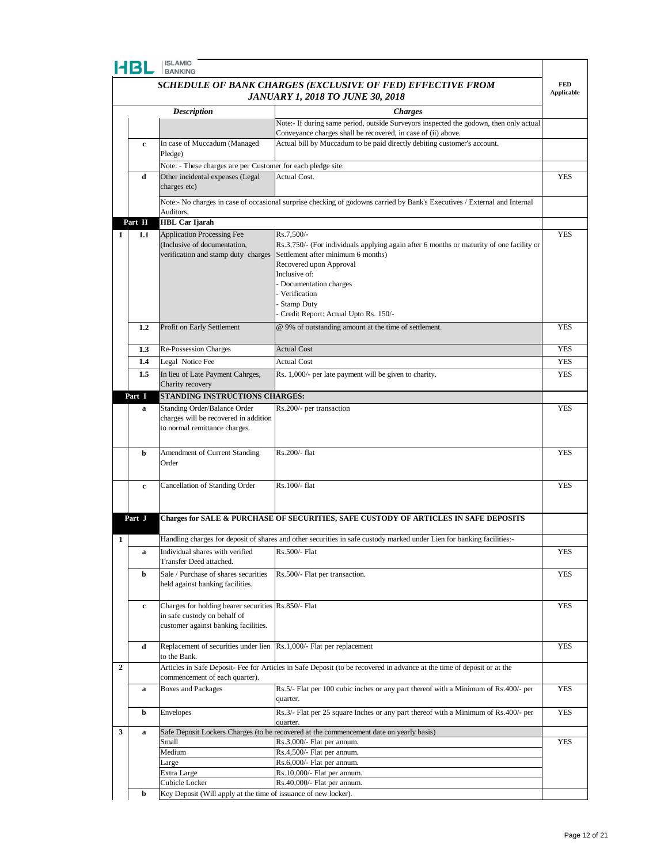|                | HBL              | <b>BANKING</b>                                                                                                              |                                                                                                                                                                         | <b>FED</b>        |
|----------------|------------------|-----------------------------------------------------------------------------------------------------------------------------|-------------------------------------------------------------------------------------------------------------------------------------------------------------------------|-------------------|
|                |                  |                                                                                                                             | SCHEDULE OF BANK CHARGES (EXCLUSIVE OF FED) EFFECTIVE FROM<br><b>JANUARY 1, 2018 TO JUNE 30, 2018</b>                                                                   | <b>Applicable</b> |
|                |                  | <b>Description</b>                                                                                                          | <b>Charges</b>                                                                                                                                                          |                   |
|                |                  |                                                                                                                             | Note:- If during same period, outside Surveyors inspected the godown, then only actual<br>Conveyance charges shall be recovered, in case of (ii) above.                 |                   |
|                | c                | In case of Muccadum (Managed<br>Pledge)                                                                                     | Actual bill by Muccadum to be paid directly debiting customer's account.                                                                                                |                   |
|                |                  | Note: - These charges are per Customer for each pledge site.                                                                |                                                                                                                                                                         |                   |
|                | d                | Other incidental expenses (Legal                                                                                            | Actual Cost.                                                                                                                                                            | YES               |
|                |                  | charges etc)                                                                                                                |                                                                                                                                                                         |                   |
|                |                  | Auditors.                                                                                                                   | Note:- No charges in case of occasional surprise checking of godowns carried by Bank's Executives / External and Internal                                               |                   |
|                | Part H           | <b>HBL Car Ijarah</b>                                                                                                       |                                                                                                                                                                         |                   |
| 1              | 1.1              | Application Processing Fee<br>(Inclusive of documentation,<br>verification and stamp duty charges                           | Rs.7,500/-<br>Rs.3,750/- (For individuals applying again after 6 months or maturity of one facility or<br>Settlement after minimum 6 months)<br>Recovered upon Approval | <b>YES</b>        |
|                |                  |                                                                                                                             | Inclusive of:<br>- Documentation charges<br>- Verification<br>Stamp Duty<br>Credit Report: Actual Upto Rs. 150/-                                                        |                   |
|                | $1.2\phantom{0}$ | Profit on Early Settlement                                                                                                  | @ 9% of outstanding amount at the time of settlement.                                                                                                                   | <b>YES</b>        |
|                | 1.3              | Re-Possession Charges                                                                                                       | <b>Actual Cost</b>                                                                                                                                                      | <b>YES</b>        |
|                | 1.4              | Legal Notice Fee                                                                                                            | <b>Actual Cost</b>                                                                                                                                                      | <b>YES</b>        |
|                | 1.5              | In lieu of Late Payment Cahrges,                                                                                            | Rs. 1,000/- per late payment will be given to charity.                                                                                                                  | <b>YES</b>        |
|                |                  | Charity recovery                                                                                                            |                                                                                                                                                                         |                   |
|                | Part I           | STANDING INSTRUCTIONS CHARGES:                                                                                              |                                                                                                                                                                         |                   |
|                | a                | <b>Standing Order/Balance Order</b><br>charges will be recovered in addition<br>to normal remittance charges.               | Rs.200/- per transaction                                                                                                                                                | <b>YES</b>        |
|                | b                | Amendment of Current Standing<br>Order                                                                                      | Rs.200/- flat                                                                                                                                                           | <b>YES</b>        |
|                | $\mathbf c$      | Cancellation of Standing Order                                                                                              | Rs.100/- flat                                                                                                                                                           | <b>YES</b>        |
|                | Part J           |                                                                                                                             | Charges for SALE & PURCHASE OF SECURITIES, SAFE CUSTODY OF ARTICLES IN SAFE DEPOSITS                                                                                    |                   |
| 1              |                  |                                                                                                                             | Handling charges for deposit of shares and other securities in safe custody marked under Lien for banking facilities:-                                                  |                   |
|                | a                | Individual shares with verified<br>Transfer Deed attached.                                                                  | Rs.500/- Flat                                                                                                                                                           | YES               |
|                | b                | Sale / Purchase of shares securities<br>held against banking facilities.                                                    | Rs.500/- Flat per transaction.                                                                                                                                          | <b>YES</b>        |
|                | c                | Charges for holding bearer securities Rs.850/- Flat<br>in safe custody on behalf of<br>customer against banking facilities. |                                                                                                                                                                         | YES               |
|                | d                | Replacement of securities under lien Rs.1,000/- Flat per replacement<br>to the Bank.                                        |                                                                                                                                                                         | YES               |
| $\overline{2}$ |                  | commencement of each quarter).                                                                                              | Articles in Safe Deposit- Fee for Articles in Safe Deposit (to be recovered in advance at the time of deposit or at the                                                 |                   |
|                | a                | <b>Boxes and Packages</b>                                                                                                   | Rs.5/- Flat per 100 cubic inches or any part thereof with a Minimum of Rs.400/- per<br>quarter.                                                                         | YES               |
|                | b                | <b>Envelopes</b>                                                                                                            | Rs.3/- Flat per 25 square Inches or any part thereof with a Minimum of Rs.400/- per<br>quarter.                                                                         | <b>YES</b>        |
| 3              | a                |                                                                                                                             | Safe Deposit Lockers Charges (to be recovered at the commencement date on yearly basis)                                                                                 |                   |
|                |                  | Small                                                                                                                       | Rs.3,000/- Flat per annum.                                                                                                                                              | <b>YES</b>        |
|                |                  | Medium                                                                                                                      | Rs.4,500/- Flat per annum.                                                                                                                                              |                   |
|                |                  | Large                                                                                                                       | Rs.6,000/- Flat per annum.<br>Rs.10,000/- Flat per annum.                                                                                                               |                   |
|                |                  | Extra Large<br>Cubicle Locker                                                                                               | Rs.40,000/- Flat per annum.                                                                                                                                             |                   |
|                | b                | Key Deposit (Will apply at the time of issuance of new locker).                                                             |                                                                                                                                                                         |                   |
|                |                  |                                                                                                                             |                                                                                                                                                                         |                   |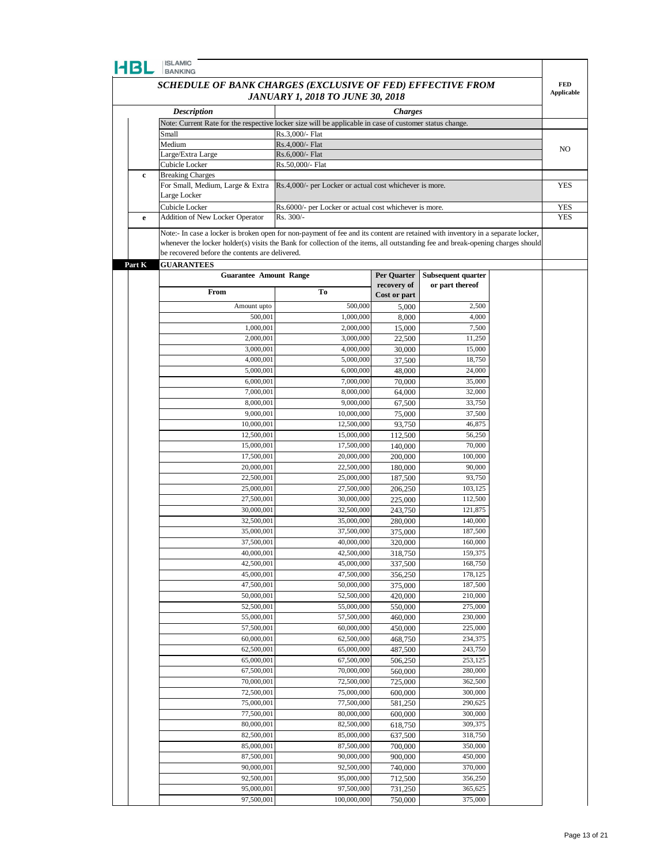## **CONTRACTOR**

| 4BL         | <b>ISLAMIC</b><br><b>BANKING</b>                                                                        |                                                         |                    |                                                                                                                                 |                   |
|-------------|---------------------------------------------------------------------------------------------------------|---------------------------------------------------------|--------------------|---------------------------------------------------------------------------------------------------------------------------------|-------------------|
|             | SCHEDULE OF BANK CHARGES (EXCLUSIVE OF FED) EFFECTIVE FROM                                              |                                                         |                    |                                                                                                                                 | <b>FED</b>        |
|             |                                                                                                         | JANUARY 1, 2018 TO JUNE 30, 2018                        |                    |                                                                                                                                 | <b>Applicable</b> |
|             | <b>Description</b>                                                                                      |                                                         | <b>Charges</b>     |                                                                                                                                 |                   |
|             | Note: Current Rate for the respective locker size will be applicable in case of customer status change. |                                                         |                    |                                                                                                                                 |                   |
|             | Small                                                                                                   | Rs.3,000/- Flat                                         |                    |                                                                                                                                 |                   |
|             | Medium                                                                                                  | Rs.4,000/- Flat<br>Rs.6,000/- Flat                      |                    |                                                                                                                                 | NO                |
|             | Large/Extra Large<br>Cubicle Locker                                                                     | Rs.50,000/- Flat                                        |                    |                                                                                                                                 |                   |
| $\mathbf c$ | <b>Breaking Charges</b>                                                                                 |                                                         |                    |                                                                                                                                 |                   |
|             | For Small, Medium, Large & Extra                                                                        | Rs.4,000/- per Locker or actual cost whichever is more. |                    |                                                                                                                                 | YES               |
|             | Large Locker                                                                                            |                                                         |                    |                                                                                                                                 |                   |
|             | Cubicle Locker                                                                                          | Rs.6000/- per Locker or actual cost whichever is more.  |                    |                                                                                                                                 | YES               |
| $\mathbf e$ | Addition of New Locker Operator                                                                         | Rs. 300/-                                               |                    |                                                                                                                                 | <b>YES</b>        |
|             |                                                                                                         |                                                         |                    | Note:- In case a locker is broken open for non-payment of fee and its content are retained with inventory in a separate locker, |                   |
|             | be recovered before the contents are delivered.                                                         |                                                         |                    | whenever the locker holder(s) visits the Bank for collection of the items, all outstanding fee and break-opening charges should |                   |
| Part K      | <b>GUARANTEES</b>                                                                                       |                                                         |                    |                                                                                                                                 |                   |
|             | <b>Guarantee Amount Range</b>                                                                           |                                                         | Per Quarter        | Subsequent quarter                                                                                                              |                   |
|             |                                                                                                         |                                                         | recovery of        | or part thereof                                                                                                                 |                   |
|             | From                                                                                                    | To                                                      | Cost or part       |                                                                                                                                 |                   |
|             | Amount upto                                                                                             | 500,000                                                 | 5,000              | 2,500                                                                                                                           |                   |
|             | 500,001                                                                                                 | 1,000,000                                               | 8,000              | 4,000                                                                                                                           |                   |
|             | 1,000,001                                                                                               | 2,000,000                                               | 15,000             | 7,500                                                                                                                           |                   |
|             | 2,000,001<br>3,000,001                                                                                  | 3,000,000<br>4,000,000                                  | 22,500<br>30,000   | 11,250<br>15,000                                                                                                                |                   |
|             | 4,000,001                                                                                               | 5,000,000                                               | 37,500             | 18,750                                                                                                                          |                   |
|             | 5,000,001                                                                                               | 6,000,000                                               | 48,000             | 24,000                                                                                                                          |                   |
|             | 6,000,001                                                                                               | 7,000,000                                               | 70,000             | 35,000                                                                                                                          |                   |
|             | 7,000,001                                                                                               | 8,000,000                                               | 64,000             | 32,000                                                                                                                          |                   |
|             | 8,000,001                                                                                               | 9,000,000                                               | 67,500             | 33,750                                                                                                                          |                   |
|             | 9,000,001                                                                                               | 10,000,000                                              | 75,000             | 37,500                                                                                                                          |                   |
|             | 10,000,001                                                                                              | 12,500,000                                              | 93,750             | 46,875                                                                                                                          |                   |
|             | 12,500,001<br>15,000,001                                                                                | 15,000,000<br>17,500,000                                | 112,500<br>140,000 | 56,250<br>70,000                                                                                                                |                   |
|             | 17,500,001                                                                                              | 20,000,000                                              | 200,000            | 100,000                                                                                                                         |                   |
|             | 20,000,001                                                                                              | 22,500,000                                              | 180,000            | 90,000                                                                                                                          |                   |
|             | 22,500,001                                                                                              | 25,000,000                                              | 187,500            | 93,750                                                                                                                          |                   |
|             | 25,000,001                                                                                              | 27,500,000                                              | 206,250            | 103,125                                                                                                                         |                   |
|             | 27,500,001                                                                                              | 30,000,000                                              | 225,000            | 112,500                                                                                                                         |                   |
|             | 30,000,001                                                                                              | 32,500,000                                              | 243,750            | 121,875                                                                                                                         |                   |
|             | 32,500,001                                                                                              | 35,000,000                                              | 280,000            | 140,000                                                                                                                         |                   |
|             | 35,000,001<br>37,500,001                                                                                | 37,500,000<br>40,000,000                                | 375,000<br>320,000 | 187,500<br>160,000                                                                                                              |                   |
|             | 40,000,001                                                                                              | 42,500,000                                              | 318,750            | 159,375                                                                                                                         |                   |
|             | 42,500,001                                                                                              | 45,000,000                                              | 337,500            | 168,750                                                                                                                         |                   |
|             | 45,000,001                                                                                              | 47,500,000                                              | 356,250            | 178,125                                                                                                                         |                   |
|             | 47,500,001                                                                                              | 50,000,000                                              | 375,000            | 187,500                                                                                                                         |                   |
|             | 50,000,001                                                                                              | 52,500,000                                              | 420,000            | 210,000                                                                                                                         |                   |
|             | 52,500,001                                                                                              | 55,000,000                                              | 550,000            | 275,000                                                                                                                         |                   |
|             | 55,000,001                                                                                              | 57,500,000<br>60,000,000                                | 460,000            | 230,000                                                                                                                         |                   |
|             | 57,500,001<br>60,000,001                                                                                | 62,500,000                                              | 450,000<br>468,750 | 225,000<br>234,375                                                                                                              |                   |
|             | 62,500,001                                                                                              | 65,000,000                                              | 487,500            | 243,750                                                                                                                         |                   |
|             | 65,000,001                                                                                              | 67,500,000                                              | 506,250            | 253,125                                                                                                                         |                   |
|             | 67,500,001                                                                                              | 70,000,000                                              | 560,000            | 280,000                                                                                                                         |                   |
|             | 70,000,001                                                                                              | 72,500,000                                              | 725,000            | 362,500                                                                                                                         |                   |
|             | 72,500,001                                                                                              | 75,000,000                                              | 600,000            | 300,000                                                                                                                         |                   |
|             | 75,000,001                                                                                              | 77,500,000                                              | 581,250            | 290,625                                                                                                                         |                   |
|             | 77,500,001                                                                                              | 80,000,000                                              | 600,000            | 300,000                                                                                                                         |                   |
|             | 80,000,001<br>82,500,001                                                                                | 82,500,000<br>85,000,000                                | 618,750            | 309,375<br>318,750                                                                                                              |                   |
|             | 85,000,001                                                                                              | 87,500,000                                              | 637,500<br>700,000 | 350,000                                                                                                                         |                   |
|             | 87,500,001                                                                                              | 90,000,000                                              | 900,000            | 450,000                                                                                                                         |                   |
|             | 90,000,001                                                                                              | 92,500,000                                              | 740,000            | 370,000                                                                                                                         |                   |
|             | 92,500,001                                                                                              | 95,000,000                                              | 712,500            | 356,250                                                                                                                         |                   |
|             | 95,000,001                                                                                              | 97,500,000                                              | 731,250            | 365,625                                                                                                                         |                   |

97,500,001 100,000,000 750,000 375,000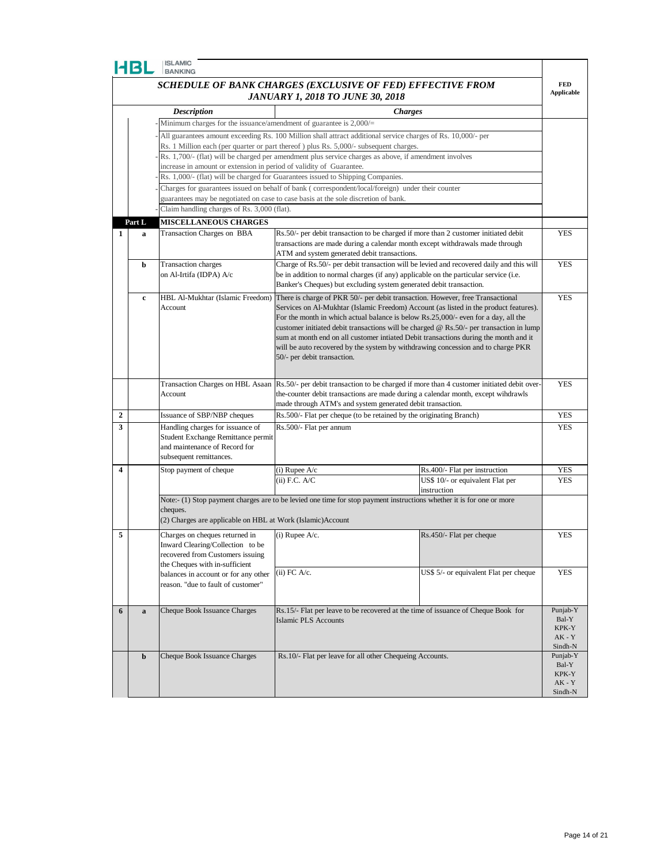|   | HBL         | <b>ISLAMIC</b><br><b>BANKING</b>                                                                                                   |                                                                                                                       |                                                                                                                                                                                                                                                                                                                                                                                                                                                           |                                 |
|---|-------------|------------------------------------------------------------------------------------------------------------------------------------|-----------------------------------------------------------------------------------------------------------------------|-----------------------------------------------------------------------------------------------------------------------------------------------------------------------------------------------------------------------------------------------------------------------------------------------------------------------------------------------------------------------------------------------------------------------------------------------------------|---------------------------------|
|   |             |                                                                                                                                    | SCHEDULE OF BANK CHARGES (EXCLUSIVE OF FED) EFFECTIVE FROM<br><b>JANUARY 1, 2018 TO JUNE 30, 2018</b>                 |                                                                                                                                                                                                                                                                                                                                                                                                                                                           | <b>FED</b><br><b>Applicable</b> |
|   |             | <b>Description</b>                                                                                                                 |                                                                                                                       | <b>Charges</b>                                                                                                                                                                                                                                                                                                                                                                                                                                            |                                 |
|   |             | Minimum charges for the issuance/amendment of guarantee is $2,000/=$                                                               |                                                                                                                       |                                                                                                                                                                                                                                                                                                                                                                                                                                                           |                                 |
|   |             |                                                                                                                                    | All guarantees amount exceeding Rs. 100 Million shall attract additional service charges of Rs. 10,000/- per          |                                                                                                                                                                                                                                                                                                                                                                                                                                                           |                                 |
|   |             |                                                                                                                                    | Rs. 1 Million each (per quarter or part thereof) plus Rs. 5,000/- subsequent charges.                                 |                                                                                                                                                                                                                                                                                                                                                                                                                                                           |                                 |
|   |             |                                                                                                                                    | Rs. 1,700/- (flat) will be charged per amendment plus service charges as above, if amendment involves                 |                                                                                                                                                                                                                                                                                                                                                                                                                                                           |                                 |
|   |             | increase in amount or extension in period of validity of Guarantee.                                                                |                                                                                                                       |                                                                                                                                                                                                                                                                                                                                                                                                                                                           |                                 |
|   |             |                                                                                                                                    | Rs. 1,000/- (flat) will be charged for Guarantees issued to Shipping Companies.                                       |                                                                                                                                                                                                                                                                                                                                                                                                                                                           |                                 |
|   |             |                                                                                                                                    | Charges for guarantees issued on behalf of bank (correspondent/local/foreign) under their counter                     |                                                                                                                                                                                                                                                                                                                                                                                                                                                           |                                 |
|   |             |                                                                                                                                    | guarantees may be negotiated on case to case basis at the sole discretion of bank.                                    |                                                                                                                                                                                                                                                                                                                                                                                                                                                           |                                 |
|   |             | Claim handling charges of Rs. 3,000 (flat).                                                                                        |                                                                                                                       |                                                                                                                                                                                                                                                                                                                                                                                                                                                           |                                 |
|   | Part L      | <b>MISCELLANEOUS CHARGES</b>                                                                                                       |                                                                                                                       |                                                                                                                                                                                                                                                                                                                                                                                                                                                           |                                 |
| 1 | $\mathbf a$ | Transaction Charges on BBA                                                                                                         | ATM and system generated debit transactions.                                                                          | Rs.50/- per debit transaction to be charged if more than 2 customer initiated debit<br>transactions are made during a calendar month except withdrawals made through                                                                                                                                                                                                                                                                                      | <b>YES</b>                      |
|   | b           | <b>Transaction</b> charges                                                                                                         |                                                                                                                       | Charge of Rs.50/- per debit transaction will be levied and recovered daily and this will                                                                                                                                                                                                                                                                                                                                                                  | <b>YES</b>                      |
|   |             | on Al-Irtifa (IDPA) A/c                                                                                                            | Banker's Cheques) but excluding system generated debit transaction.                                                   | be in addition to normal charges (if any) applicable on the particular service (i.e.                                                                                                                                                                                                                                                                                                                                                                      |                                 |
|   | c           | HBL Al-Mukhtar (Islamic Freedom)<br>Account                                                                                        | There is charge of PKR 50/- per debit transaction. However, free Transactional<br>50/- per debit transaction.         | Services on Al-Mukhtar (Islamic Freedom) Account (as listed in the product features).<br>For the month in which actual balance is below Rs.25,000/- even for a day, all the<br>customer initiated debit transactions will be charged $\omega$ Rs.50/- per transaction in lump<br>sum at month end on all customer intiated Debit transactions during the month and it<br>will be auto recovered by the system by withdrawing concession and to charge PKR | <b>YES</b>                      |
|   |             | Transaction Charges on HBL Asaan                                                                                                   |                                                                                                                       | Rs.50/- per debit transaction to be charged if more than 4 customer initiated debit over-                                                                                                                                                                                                                                                                                                                                                                 | <b>YES</b>                      |
|   |             | Account                                                                                                                            | made through ATM's and system generated debit transaction.                                                            | the-counter debit transactions are made during a calendar month, except windrawls                                                                                                                                                                                                                                                                                                                                                                         |                                 |
| 2 |             | Issuance of SBP/NBP cheques                                                                                                        | Rs.500/- Flat per cheque (to be retained by the originating Branch)                                                   |                                                                                                                                                                                                                                                                                                                                                                                                                                                           | <b>YES</b>                      |
| 3 |             | Handling charges for issuance of<br>Student Exchange Remittance permit<br>and maintenance of Record for<br>subsequent remittances. | Rs.500/- Flat per annum                                                                                               |                                                                                                                                                                                                                                                                                                                                                                                                                                                           | <b>YES</b>                      |
| 4 |             | Stop payment of cheque                                                                                                             | $(i)$ Rupee A/c                                                                                                       | Rs.400/- Flat per instruction                                                                                                                                                                                                                                                                                                                                                                                                                             | YES                             |
|   |             |                                                                                                                                    | $(ii)$ F.C. A/C                                                                                                       | US\$ 10/- or equivalent Flat per                                                                                                                                                                                                                                                                                                                                                                                                                          | <b>YES</b>                      |
|   |             |                                                                                                                                    |                                                                                                                       | instruction                                                                                                                                                                                                                                                                                                                                                                                                                                               |                                 |
|   |             | cheques.<br>(2) Charges are applicable on HBL at Work (Islamic) Account                                                            | Note:- (1) Stop payment charges are to be levied one time for stop payment instructions whether it is for one or more |                                                                                                                                                                                                                                                                                                                                                                                                                                                           |                                 |
| 5 |             | Charges on cheques returned in                                                                                                     | $(i)$ Rupee A/c.                                                                                                      | Rs.450/- Flat per cheque                                                                                                                                                                                                                                                                                                                                                                                                                                  | <b>YES</b>                      |
|   |             | Inward Clearing/Collection to be                                                                                                   |                                                                                                                       |                                                                                                                                                                                                                                                                                                                                                                                                                                                           |                                 |
|   |             | recovered from Customers issuing                                                                                                   |                                                                                                                       |                                                                                                                                                                                                                                                                                                                                                                                                                                                           |                                 |
|   |             | the Cheques with in-sufficient                                                                                                     | $(ii)$ FC A/c.                                                                                                        |                                                                                                                                                                                                                                                                                                                                                                                                                                                           | <b>YES</b>                      |
|   |             | balances in account or for any other                                                                                               |                                                                                                                       | US\$ 5/- or equivalent Flat per cheque                                                                                                                                                                                                                                                                                                                                                                                                                    |                                 |
|   |             | reason. "due to fault of customer"                                                                                                 |                                                                                                                       |                                                                                                                                                                                                                                                                                                                                                                                                                                                           |                                 |
|   |             |                                                                                                                                    |                                                                                                                       |                                                                                                                                                                                                                                                                                                                                                                                                                                                           |                                 |
| 6 | $\mathbf a$ | Cheque Book Issuance Charges                                                                                                       |                                                                                                                       | Rs.15/- Flat per leave to be recovered at the time of issuance of Cheque Book for                                                                                                                                                                                                                                                                                                                                                                         | Punjab-Y                        |
|   |             |                                                                                                                                    | <b>Islamic PLS Accounts</b>                                                                                           |                                                                                                                                                                                                                                                                                                                                                                                                                                                           | Bal-Y<br>KPK-Y<br>$AK - Y$      |
|   | b           | Cheque Book Issuance Charges                                                                                                       | Rs.10/- Flat per leave for all other Chequeing Accounts.                                                              |                                                                                                                                                                                                                                                                                                                                                                                                                                                           | Sindh-N<br>Punjab-Y             |
|   |             |                                                                                                                                    |                                                                                                                       |                                                                                                                                                                                                                                                                                                                                                                                                                                                           | Bal-Y                           |
|   |             |                                                                                                                                    |                                                                                                                       |                                                                                                                                                                                                                                                                                                                                                                                                                                                           | KPK-Y                           |
|   |             |                                                                                                                                    |                                                                                                                       |                                                                                                                                                                                                                                                                                                                                                                                                                                                           | $AK - Y$<br>Sindh-N             |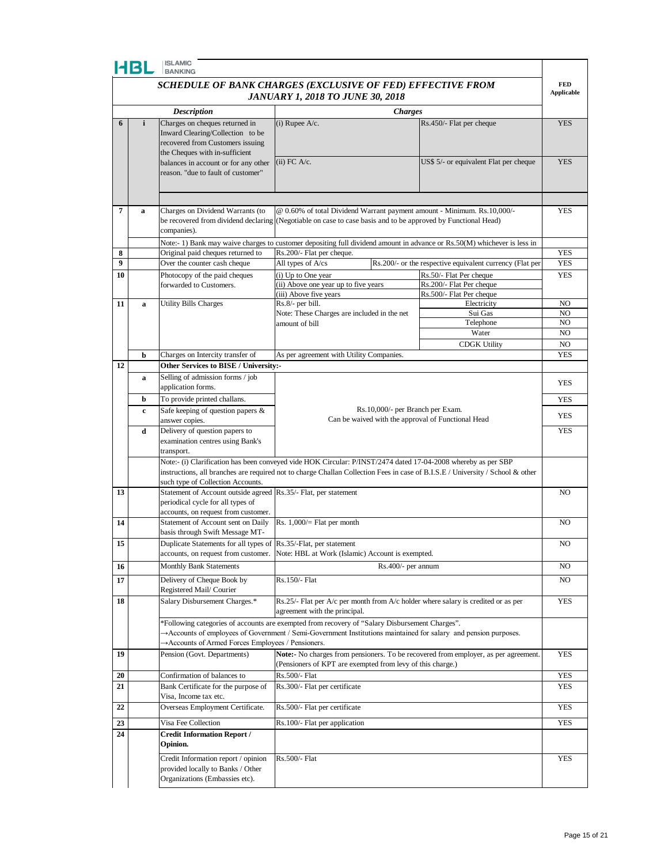|                  | <b>HBL</b>                                                                      | <b>ISLAMIC</b><br><b>BANKING</b>                                                                                                                                                                                                                                                     |                                                                                        |                    |                                                                                                                                |                                 |  |  |
|------------------|---------------------------------------------------------------------------------|--------------------------------------------------------------------------------------------------------------------------------------------------------------------------------------------------------------------------------------------------------------------------------------|----------------------------------------------------------------------------------------|--------------------|--------------------------------------------------------------------------------------------------------------------------------|---------------------------------|--|--|
|                  |                                                                                 | SCHEDULE OF BANK CHARGES (EXCLUSIVE OF FED) EFFECTIVE FROM                                                                                                                                                                                                                           |                                                                                        |                    |                                                                                                                                | <b>FED</b><br><b>Applicable</b> |  |  |
|                  | <b>JANUARY 1, 2018 TO JUNE 30, 2018</b><br><b>Description</b><br><b>Charges</b> |                                                                                                                                                                                                                                                                                      |                                                                                        |                    |                                                                                                                                |                                 |  |  |
|                  |                                                                                 |                                                                                                                                                                                                                                                                                      |                                                                                        |                    |                                                                                                                                |                                 |  |  |
| 6                | $\mathbf{i}$                                                                    | Charges on cheques returned in<br>Inward Clearing/Collection to be<br>recovered from Customers issuing<br>the Cheques with in-sufficient                                                                                                                                             | $(i)$ Rupee A/c.                                                                       |                    | Rs.450/- Flat per cheque                                                                                                       | <b>YES</b>                      |  |  |
|                  |                                                                                 | balances in account or for any other<br>reason. "due to fault of customer"                                                                                                                                                                                                           | $(ii)$ FC A/c.                                                                         |                    | US\$ 5/- or equivalent Flat per cheque                                                                                         | <b>YES</b>                      |  |  |
|                  |                                                                                 |                                                                                                                                                                                                                                                                                      |                                                                                        |                    |                                                                                                                                |                                 |  |  |
| $\overline{7}$   | $\mathbf a$                                                                     | Charges on Dividend Warrants (to<br>be recovered from dividend declaring (Negotiable on case to case basis and to be approved by Functional Head)<br>companies).                                                                                                                     |                                                                                        |                    | @ 0.60% of total Dividend Warrant payment amount - Minimum. Rs.10,000/-                                                        | <b>YES</b>                      |  |  |
|                  |                                                                                 |                                                                                                                                                                                                                                                                                      |                                                                                        |                    | Note:- 1) Bank may waive charges to customer depositing full dividend amount in advance or Rs.50(M) whichever is less in       |                                 |  |  |
| 8                |                                                                                 | Original paid cheques returned to                                                                                                                                                                                                                                                    | Rs.200/- Flat per cheque.                                                              |                    |                                                                                                                                | <b>YES</b>                      |  |  |
| $\boldsymbol{9}$ |                                                                                 | Over the counter cash cheque                                                                                                                                                                                                                                                         | All types of A/cs                                                                      |                    | Rs.200/- or the respective equivalent currency (Flat per                                                                       | <b>YES</b>                      |  |  |
| 10               |                                                                                 | Photocopy of the paid cheques<br>forwarded to Customers.                                                                                                                                                                                                                             | (i) Up to One year<br>(ii) Above one year up to five years                             |                    | Rs.50/- Flat Per cheque<br>Rs.200/- Flat Per cheque                                                                            | <b>YES</b>                      |  |  |
|                  |                                                                                 |                                                                                                                                                                                                                                                                                      | (iii) Above five years                                                                 |                    | Rs.500/- Flat Per cheque                                                                                                       |                                 |  |  |
| 11               | $\mathbf a$                                                                     | <b>Utility Bills Charges</b>                                                                                                                                                                                                                                                         | Rs.8/- per bill.                                                                       |                    | Electricity                                                                                                                    | NO                              |  |  |
|                  |                                                                                 |                                                                                                                                                                                                                                                                                      | Note: These Charges are included in the net                                            |                    | Sui Gas                                                                                                                        | NO                              |  |  |
|                  |                                                                                 |                                                                                                                                                                                                                                                                                      | amount of bill                                                                         |                    | Telephone                                                                                                                      | NO                              |  |  |
|                  |                                                                                 |                                                                                                                                                                                                                                                                                      |                                                                                        |                    | Water                                                                                                                          | NO                              |  |  |
|                  |                                                                                 |                                                                                                                                                                                                                                                                                      |                                                                                        |                    | <b>CDGK Utility</b>                                                                                                            | NO                              |  |  |
|                  | b                                                                               | Charges on Intercity transfer of                                                                                                                                                                                                                                                     | As per agreement with Utility Companies.                                               |                    | <b>YES</b>                                                                                                                     |                                 |  |  |
| 12               |                                                                                 | Other Services to BISE / University:-                                                                                                                                                                                                                                                |                                                                                        |                    |                                                                                                                                |                                 |  |  |
|                  | a                                                                               | Selling of admission forms / job<br>application forms.                                                                                                                                                                                                                               |                                                                                        |                    | YES                                                                                                                            |                                 |  |  |
|                  | b                                                                               | To provide printed challans.                                                                                                                                                                                                                                                         | Rs.10,000/- per Branch per Exam.<br>Can be waived with the approval of Functional Head |                    | <b>YES</b>                                                                                                                     |                                 |  |  |
|                  | c                                                                               | Safe keeping of question papers &<br>answer copies.                                                                                                                                                                                                                                  |                                                                                        |                    |                                                                                                                                | <b>YES</b>                      |  |  |
|                  | d                                                                               | Delivery of question papers to<br>examination centres using Bank's<br>transport.                                                                                                                                                                                                     |                                                                                        |                    |                                                                                                                                | <b>YES</b>                      |  |  |
|                  |                                                                                 | Note:- (i) Clarification has been conveyed vide HOK Circular: P/INST/2474 dated 17-04-2008 whereby as per SBP<br>such type of Collection Accounts.                                                                                                                                   |                                                                                        |                    | instructions, all branches are required not to charge Challan Collection Fees in case of B.I.S.E / University / School & other |                                 |  |  |
| 13               |                                                                                 | Statement of Account outside agreed Rs.35/- Flat, per statement<br>periodical cycle for all types of<br>accounts, on request from customer.                                                                                                                                          |                                                                                        |                    |                                                                                                                                | NO                              |  |  |
| 14               |                                                                                 | Statement of Account sent on Daily<br>basis through Swift Message MT-                                                                                                                                                                                                                | Rs. $1,000/=$ Flat per month                                                           |                    |                                                                                                                                | NO                              |  |  |
| 15               |                                                                                 | Duplicate Statements for all types of Rs.35/-Flat, per statement<br>accounts, on request from customer. Note: HBL at Work (Islamic) Account is exempted.                                                                                                                             |                                                                                        |                    |                                                                                                                                | NO                              |  |  |
| 16               |                                                                                 | <b>Monthly Bank Statements</b>                                                                                                                                                                                                                                                       |                                                                                        | Rs.400/- per annum |                                                                                                                                | NO                              |  |  |
| 17               |                                                                                 | Delivery of Cheque Book by<br>Registered Mail/ Courier                                                                                                                                                                                                                               | Rs.150/- Flat                                                                          |                    |                                                                                                                                | NO                              |  |  |
| 18               |                                                                                 | Salary Disbursement Charges.*                                                                                                                                                                                                                                                        | agreement with the principal.                                                          |                    | Rs.25/- Flat per A/c per month from A/c holder where salary is credited or as per                                              | <b>YES</b>                      |  |  |
|                  |                                                                                 | *Following categories of accounts are exempted from recovery of "Salary Disbursement Charges".<br>$\rightarrow$ Accounts of employees of Government / Semi-Government Institutions maintained for salary and pension purposes.<br>→ Accounts of Armed Forces Employees / Pensioners. |                                                                                        |                    |                                                                                                                                |                                 |  |  |
| 19               |                                                                                 | Pension (Govt. Departments)                                                                                                                                                                                                                                                          | (Pensioners of KPT are exempted from levy of this charge.)                             |                    | Note:- No charges from pensioners. To be recovered from employer, as per agreement.                                            | <b>YES</b>                      |  |  |
| 20               |                                                                                 | Confirmation of balances to                                                                                                                                                                                                                                                          | Rs.500/- Flat                                                                          |                    |                                                                                                                                | <b>YES</b>                      |  |  |
| 21               |                                                                                 | Bank Certificate for the purpose of<br>Visa, Income tax etc.                                                                                                                                                                                                                         | Rs.300/- Flat per certificate                                                          |                    |                                                                                                                                | YES                             |  |  |
| 22               |                                                                                 | Overseas Employment Certificate.                                                                                                                                                                                                                                                     | Rs.500/- Flat per certificate                                                          |                    |                                                                                                                                | <b>YES</b>                      |  |  |
| 23               |                                                                                 | Visa Fee Collection                                                                                                                                                                                                                                                                  | Rs.100/- Flat per application                                                          |                    |                                                                                                                                | <b>YES</b>                      |  |  |
| 24               |                                                                                 | <b>Credit Information Report /</b><br>Opinion.                                                                                                                                                                                                                                       |                                                                                        |                    |                                                                                                                                |                                 |  |  |
|                  |                                                                                 | Credit Information report / opinion<br>provided locally to Banks / Other<br>Organizations (Embassies etc).                                                                                                                                                                           | Rs.500/- Flat                                                                          |                    |                                                                                                                                | YES                             |  |  |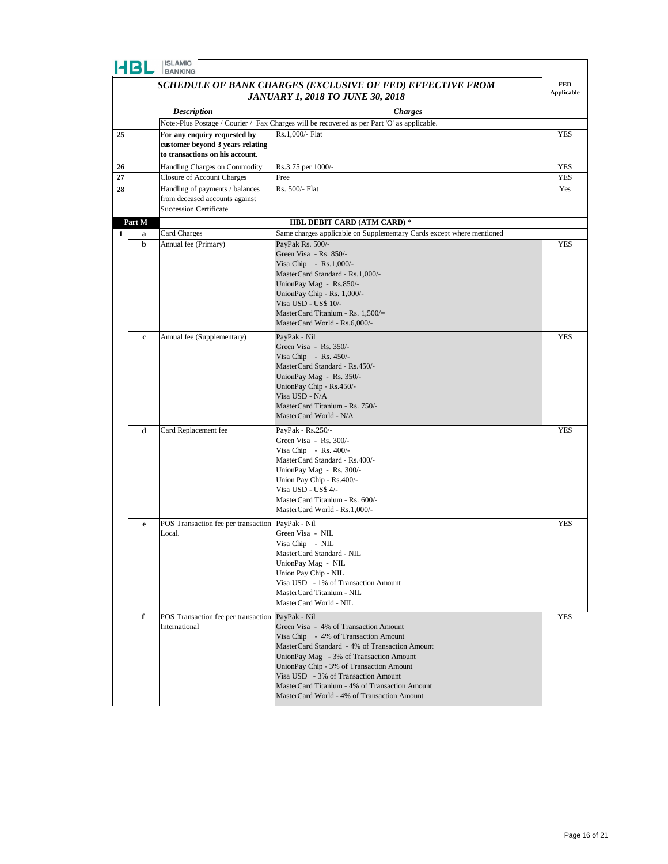|--|

| <b>4B</b> |        | <b>ISLAMIC</b><br><b>BANKING</b>                                                                    |                                                                                                                                                                                                                                                                                                                                                                |                                 |
|-----------|--------|-----------------------------------------------------------------------------------------------------|----------------------------------------------------------------------------------------------------------------------------------------------------------------------------------------------------------------------------------------------------------------------------------------------------------------------------------------------------------------|---------------------------------|
|           |        |                                                                                                     | SCHEDULE OF BANK CHARGES (EXCLUSIVE OF FED) EFFECTIVE FROM<br><b>JANUARY 1, 2018 TO JUNE 30, 2018</b>                                                                                                                                                                                                                                                          | <b>FED</b><br><b>Applicable</b> |
|           |        | <b>Description</b>                                                                                  | <b>Charges</b>                                                                                                                                                                                                                                                                                                                                                 |                                 |
|           |        |                                                                                                     | Note:-Plus Postage / Courier / Fax Charges will be recovered as per Part 'O' as applicable.                                                                                                                                                                                                                                                                    |                                 |
| 25        |        | For any enquiry requested by<br>customer beyond 3 years relating<br>to transactions on his account. | Rs.1,000/- Flat                                                                                                                                                                                                                                                                                                                                                | YES                             |
| 26        |        | Handling Charges on Commodity                                                                       | Rs.3.75 per 1000/-                                                                                                                                                                                                                                                                                                                                             | YES                             |
| 27        |        | <b>Closure of Account Charges</b>                                                                   | Free                                                                                                                                                                                                                                                                                                                                                           | <b>YES</b>                      |
| 28        |        | Handling of payments / balances<br>from deceased accounts against<br><b>Succession Certificate</b>  | Rs. 500/- Flat                                                                                                                                                                                                                                                                                                                                                 | Yes                             |
|           | Part M |                                                                                                     | HBL DEBIT CARD (ATM CARD) *                                                                                                                                                                                                                                                                                                                                    |                                 |
| 1         | a      | Card Charges                                                                                        | Same charges applicable on Supplementary Cards except where mentioned                                                                                                                                                                                                                                                                                          |                                 |
|           | b      | Annual fee (Primary)                                                                                | PayPak Rs. 500/-<br>Green Visa - Rs. 850/-<br>Visa Chip - Rs.1,000/-<br>MasterCard Standard - Rs.1,000/-<br>UnionPay Mag - Rs.850/-<br>UnionPay Chip - Rs. 1,000/-<br>Visa USD - US\$ 10/-<br>MasterCard Titanium - Rs. $1,500/$ =<br>MasterCard World - Rs.6,000/-                                                                                            | YES                             |
|           | c      | Annual fee (Supplementary)                                                                          | PayPak - Nil<br>Green Visa - Rs. 350/-<br>Visa Chip - Rs. $450/-$<br>MasterCard Standard - Rs.450/-<br>UnionPay Mag - Rs. 350/-<br>UnionPay Chip - Rs.450/-<br>Visa USD - N/A<br>MasterCard Titanium - Rs. 750/-<br>MasterCard World - N/A                                                                                                                     | <b>YES</b>                      |
|           | d      | Card Replacement fee                                                                                | PayPak - Rs.250/-<br>Green Visa - Rs. 300/-<br>Visa Chip - Rs. $400/-$<br>MasterCard Standard - Rs.400/-<br>UnionPay Mag - Rs. 300/-<br>Union Pay Chip - Rs.400/-<br>Visa USD - US\$ 4/-<br>MasterCard Titanium - Rs. 600/-<br>MasterCard World - Rs.1,000/-                                                                                                   | <b>YES</b>                      |
|           | e      | POS Transaction fee per transaction PayPak - Nil<br>Local.                                          | Green Visa - NIL<br>Visa Chip           NIL<br>MasterCard Standard - NIL<br>UnionPay Mag - NIL<br>Union Pay Chip - NIL<br>Visa USD - 1% of Transaction Amount<br>MasterCard Titanium - NIL<br>MasterCard World - NIL                                                                                                                                           | <b>YES</b>                      |
|           | f      | POS Transaction fee per transaction PayPak - Nil<br>International                                   | Green Visa - 4% of Transaction Amount<br>Visa Chip - 4% of Transaction Amount<br>MasterCard Standard - 4% of Transaction Amount<br>UnionPay Mag - 3% of Transaction Amount<br>UnionPay Chip - 3% of Transaction Amount<br>Visa USD - 3% of Transaction Amount<br>MasterCard Titanium - 4% of Transaction Amount<br>MasterCard World - 4% of Transaction Amount | <b>YES</b>                      |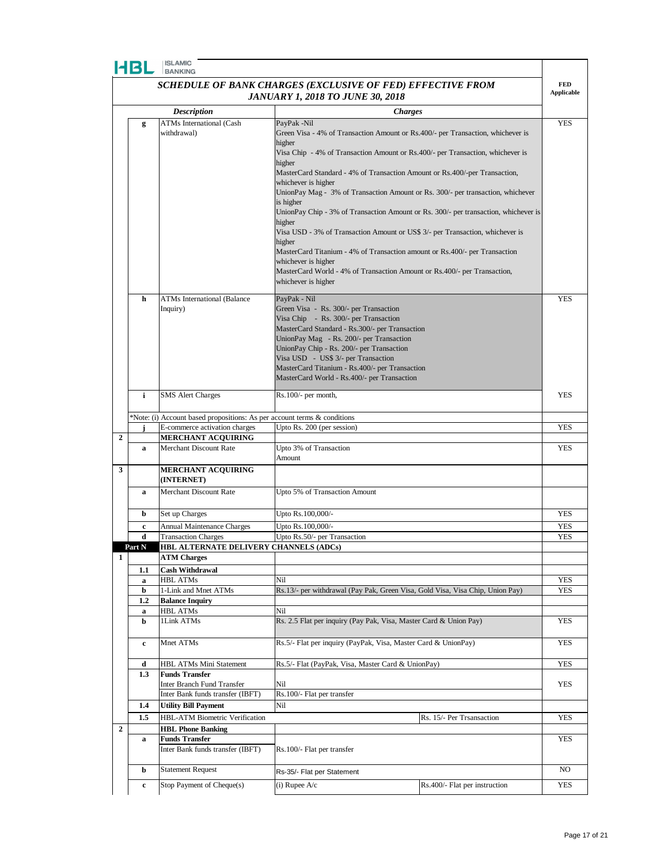

|                | HBL                                                                      | <b>ISLAMIC</b><br><b>BANKING</b>                               |                                                                                                  |                               |                   |
|----------------|--------------------------------------------------------------------------|----------------------------------------------------------------|--------------------------------------------------------------------------------------------------|-------------------------------|-------------------|
|                |                                                                          |                                                                | SCHEDULE OF BANK CHARGES (EXCLUSIVE OF FED) EFFECTIVE FROM                                       |                               | <b>FED</b>        |
|                |                                                                          |                                                                | <b>JANUARY 1, 2018 TO JUNE 30, 2018</b>                                                          |                               | <b>Applicable</b> |
|                |                                                                          |                                                                |                                                                                                  |                               |                   |
|                |                                                                          | <b>Description</b>                                             | <b>Charges</b>                                                                                   |                               | <b>YES</b>        |
|                | g                                                                        | <b>ATMs</b> International (Cash<br>withdrawal)                 | PayPak -Nil<br>Green Visa - 4% of Transaction Amount or Rs.400/- per Transaction, whichever is   |                               |                   |
|                |                                                                          |                                                                | higher                                                                                           |                               |                   |
|                |                                                                          |                                                                | Visa Chip - 4% of Transaction Amount or Rs.400/- per Transaction, whichever is                   |                               |                   |
|                |                                                                          |                                                                | higher                                                                                           |                               |                   |
|                |                                                                          |                                                                | MasterCard Standard - 4% of Transaction Amount or Rs.400/-per Transaction,                       |                               |                   |
|                |                                                                          |                                                                | whichever is higher                                                                              |                               |                   |
|                |                                                                          |                                                                | UnionPay Mag - 3% of Transaction Amount or Rs. 300/- per transaction, whichever                  |                               |                   |
|                |                                                                          |                                                                | is higher<br>UnionPay Chip - 3% of Transaction Amount or Rs. 300/- per transaction, whichever is |                               |                   |
|                |                                                                          |                                                                | higher                                                                                           |                               |                   |
|                |                                                                          |                                                                | Visa USD - 3% of Transaction Amount or US\$ 3/- per Transaction, whichever is                    |                               |                   |
|                |                                                                          |                                                                | higher                                                                                           |                               |                   |
|                |                                                                          |                                                                | MasterCard Titanium - 4% of Transaction amount or Rs.400/- per Transaction                       |                               |                   |
|                |                                                                          |                                                                | whichever is higher                                                                              |                               |                   |
|                |                                                                          |                                                                | MasterCard World - 4% of Transaction Amount or Rs.400/- per Transaction,                         |                               |                   |
|                |                                                                          |                                                                | whichever is higher                                                                              |                               |                   |
|                | h                                                                        | <b>ATMs International (Balance</b>                             | PayPak - Nil                                                                                     |                               | <b>YES</b>        |
|                |                                                                          | Inquiry)                                                       | Green Visa - Rs. 300/- per Transaction                                                           |                               |                   |
|                |                                                                          |                                                                | Visa Chip - Rs. 300/- per Transaction                                                            |                               |                   |
|                |                                                                          |                                                                | MasterCard Standard - Rs.300/- per Transaction                                                   |                               |                   |
|                |                                                                          |                                                                | UnionPay Mag - Rs. 200/- per Transaction<br>UnionPay Chip - Rs. 200/- per Transaction            |                               |                   |
|                |                                                                          |                                                                | Visa USD - US\$ 3/- per Transaction                                                              |                               |                   |
|                |                                                                          |                                                                | MasterCard Titanium - Rs.400/- per Transaction                                                   |                               |                   |
|                |                                                                          |                                                                | MasterCard World - Rs.400/- per Transaction                                                      |                               |                   |
|                |                                                                          |                                                                |                                                                                                  |                               |                   |
|                | i                                                                        | <b>SMS</b> Alert Charges                                       | $Rs.100/-$ per month,                                                                            |                               | <b>YES</b>        |
|                | *Note: (i) Account based propositions: As per account terms & conditions |                                                                |                                                                                                  |                               |                   |
|                |                                                                          | E-commerce activation charges                                  | Upto Rs. 200 (per session)                                                                       |                               | <b>YES</b>        |
| $\overline{2}$ |                                                                          | MERCHANT ACQUIRING                                             |                                                                                                  |                               |                   |
|                | a                                                                        | Merchant Discount Rate                                         | Upto 3% of Transaction                                                                           |                               | <b>YES</b>        |
|                |                                                                          |                                                                | Amount                                                                                           |                               |                   |
| 3              |                                                                          | <b>MERCHANT ACQUIRING</b>                                      |                                                                                                  |                               |                   |
|                |                                                                          | (INTERNET)                                                     |                                                                                                  |                               |                   |
|                | a                                                                        | Merchant Discount Rate                                         | Upto 5% of Transaction Amount                                                                    |                               |                   |
|                |                                                                          |                                                                |                                                                                                  |                               |                   |
|                | b                                                                        | Set up Charges                                                 | Upto Rs.100,000/-                                                                                |                               | <b>YES</b>        |
|                | c                                                                        | <b>Annual Maintenance Charges</b>                              | Upto Rs.100,000/-                                                                                |                               | YES               |
|                | d                                                                        | <b>Transaction Charges</b>                                     | Upto Rs.50/- per Transaction                                                                     |                               | YES               |
|                | Part N                                                                   | HBL ALTERNATE DELIVERY CHANNELS (ADCs)                         |                                                                                                  |                               |                   |
| $\mathbf{1}$   |                                                                          | <b>ATM Charges</b>                                             |                                                                                                  |                               |                   |
|                | 1.1                                                                      | <b>Cash Withdrawal</b>                                         |                                                                                                  |                               |                   |
|                | a<br>b                                                                   | <b>HBL ATMs</b><br>1-Link and Mnet ATMs                        | Nil<br>Rs.13/- per withdrawal (Pay Pak, Green Visa, Gold Visa, Visa Chip, Union Pay)             |                               | YES<br><b>YES</b> |
|                | 1.2                                                                      | <b>Balance Inquiry</b>                                         |                                                                                                  |                               |                   |
|                | a                                                                        | <b>HBL ATMs</b>                                                | Nil                                                                                              |                               |                   |
|                | b                                                                        | 1Link ATMs                                                     | Rs. 2.5 Flat per inquiry (Pay Pak, Visa, Master Card & Union Pay)                                |                               | YES               |
|                |                                                                          |                                                                |                                                                                                  |                               |                   |
|                | c                                                                        | Mnet ATMs                                                      | Rs.5/- Flat per inquiry (PayPak, Visa, Master Card & UnionPay)                                   |                               | <b>YES</b>        |
|                |                                                                          |                                                                |                                                                                                  |                               |                   |
|                | d                                                                        | HBL ATMs Mini Statement                                        | Rs.5/- Flat (PayPak, Visa, Master Card & UnionPay)                                               |                               | <b>YES</b>        |
|                | 1.3                                                                      | <b>Funds Transfer</b>                                          |                                                                                                  |                               |                   |
|                |                                                                          | Inter Branch Fund Transfer<br>Inter Bank funds transfer (IBFT) | Nil<br>Rs.100/- Flat per transfer                                                                |                               | YES               |
|                | $1.4\phantom{0}$                                                         | <b>Utility Bill Payment</b>                                    | Nil                                                                                              |                               |                   |
|                |                                                                          | HBL-ATM Biometric Verification                                 |                                                                                                  |                               | YES               |
| $\overline{2}$ | 1.5                                                                      | <b>HBL Phone Banking</b>                                       |                                                                                                  | Rs. 15/- Per Trsansaction     |                   |
|                | a                                                                        | <b>Funds Transfer</b>                                          |                                                                                                  |                               | YES               |
|                |                                                                          | Inter Bank funds transfer (IBFT)                               | Rs.100/- Flat per transfer                                                                       |                               |                   |
|                |                                                                          |                                                                |                                                                                                  |                               |                   |
|                | b                                                                        | <b>Statement Request</b>                                       | Rs-35/- Flat per Statement                                                                       |                               | NO.               |
|                | $\mathbf c$                                                              | Stop Payment of Cheque(s)                                      | $(i)$ Rupee A/c                                                                                  | Rs.400/- Flat per instruction | YES               |
|                |                                                                          |                                                                |                                                                                                  |                               |                   |

 $\overline{\phantom{0}}$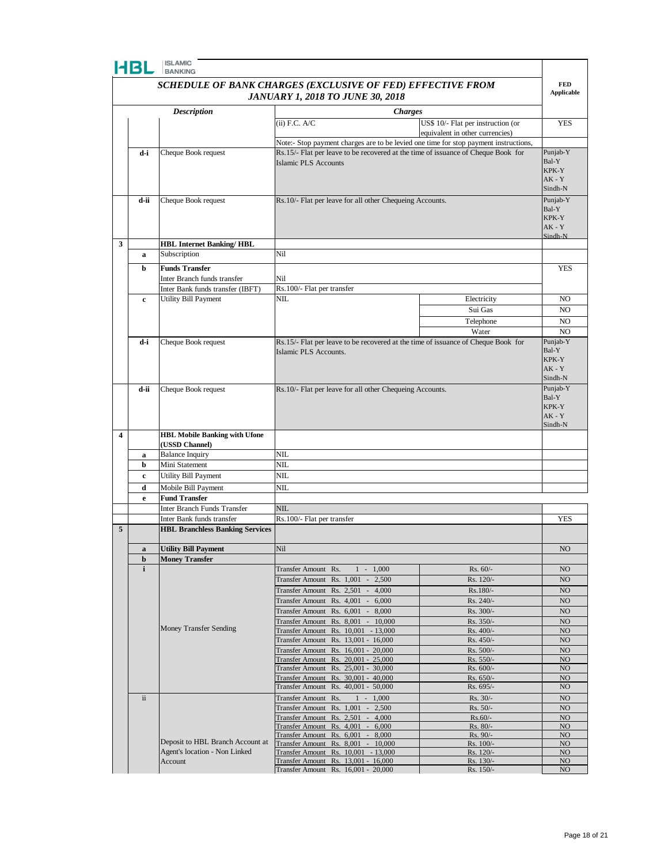| W Se |  |
|------|--|
|      |  |

|   | HBL          | <b>ISLAMIC</b><br><b>BANKING</b>                           |                                                                               |                |                                                                                                                         |                                                                                                                                                                                       |
|---|--------------|------------------------------------------------------------|-------------------------------------------------------------------------------|----------------|-------------------------------------------------------------------------------------------------------------------------|---------------------------------------------------------------------------------------------------------------------------------------------------------------------------------------|
|   |              | SCHEDULE OF BANK CHARGES (EXCLUSIVE OF FED) EFFECTIVE FROM |                                                                               |                |                                                                                                                         | <b>FED</b>                                                                                                                                                                            |
|   |              |                                                            | <b>JANUARY 1, 2018 TO JUNE 30, 2018</b>                                       |                |                                                                                                                         |                                                                                                                                                                                       |
|   |              | <b>Description</b>                                         |                                                                               | <b>Charges</b> |                                                                                                                         |                                                                                                                                                                                       |
|   |              |                                                            | $(ii)$ F.C. $A/C$                                                             |                | US\$ 10/- Flat per instruction (or                                                                                      | <b>YES</b>                                                                                                                                                                            |
|   |              |                                                            |                                                                               |                | equivalent in other currencies)<br>Note:- Stop payment charges are to be levied one time for stop payment instructions, |                                                                                                                                                                                       |
|   | d-i          | Cheque Book request                                        |                                                                               |                | Rs.15/- Flat per leave to be recovered at the time of issuance of Cheque Book for                                       | Punjab-Y                                                                                                                                                                              |
|   |              |                                                            | <b>Islamic PLS Accounts</b>                                                   |                |                                                                                                                         | Bal-Y<br>KPK-Y<br>$AK - Y$<br>Sindh-N                                                                                                                                                 |
|   | d-ii         | Cheque Book request                                        | Rs.10/- Flat per leave for all other Chequeing Accounts.                      |                |                                                                                                                         | Punjab-Y<br>Bal-Y<br>KPK-Y<br>$AK - Y$<br>Sindh-N                                                                                                                                     |
| 3 | a            | <b>HBL Internet Banking/HBL</b><br>Subscription            | Nil                                                                           |                |                                                                                                                         |                                                                                                                                                                                       |
|   |              |                                                            |                                                                               |                |                                                                                                                         |                                                                                                                                                                                       |
|   | b            | <b>Funds Transfer</b><br>Inter Branch funds transfer       | Nil                                                                           |                |                                                                                                                         |                                                                                                                                                                                       |
|   |              | Inter Bank funds transfer (IBFT)                           | Rs.100/- Flat per transfer                                                    |                |                                                                                                                         |                                                                                                                                                                                       |
|   | c            | Utility Bill Payment                                       | NIL                                                                           |                | Electricity                                                                                                             | NO.                                                                                                                                                                                   |
|   |              |                                                            |                                                                               |                | Sui Gas                                                                                                                 | NO.                                                                                                                                                                                   |
|   |              |                                                            |                                                                               |                | Telephone                                                                                                               | N <sub>O</sub>                                                                                                                                                                        |
|   |              |                                                            |                                                                               |                | Water                                                                                                                   |                                                                                                                                                                                       |
|   | d-i          | Cheque Book request                                        | Islamic PLS Accounts.                                                         |                | Rs.15/- Flat per leave to be recovered at the time of issuance of Cheque Book for                                       | Bal-Y<br>KPK-Y<br>$AK - Y$<br>Sindh-N                                                                                                                                                 |
|   | d-ii         | Cheque Book request                                        | Rs.10/- Flat per leave for all other Chequeing Accounts.                      |                |                                                                                                                         | Punjab-Y<br>Bal-Y<br>KPK-Y<br>$AK - Y$<br>Sindh-N                                                                                                                                     |
| 4 |              | <b>HBL Mobile Banking with Ufone</b><br>(USSD Channel)     |                                                                               |                |                                                                                                                         |                                                                                                                                                                                       |
|   | a            | <b>Balance Inquiry</b>                                     | NIL                                                                           |                |                                                                                                                         |                                                                                                                                                                                       |
|   | b            | Mini Statement                                             | NIL                                                                           |                |                                                                                                                         |                                                                                                                                                                                       |
|   | c            | Utility Bill Payment                                       | NIL                                                                           |                |                                                                                                                         |                                                                                                                                                                                       |
|   | d            | Mobile Bill Payment<br><b>Fund Transfer</b>                | NIL                                                                           |                |                                                                                                                         |                                                                                                                                                                                       |
|   | e            | Inter Branch Funds Transfer                                | <b>NIL</b>                                                                    |                |                                                                                                                         |                                                                                                                                                                                       |
|   |              | Inter Bank funds transfer                                  | Rs.100/- Flat per transfer                                                    |                |                                                                                                                         |                                                                                                                                                                                       |
| 5 |              | <b>HBL Branchless Banking Services</b>                     |                                                                               |                |                                                                                                                         |                                                                                                                                                                                       |
|   |              |                                                            |                                                                               |                |                                                                                                                         |                                                                                                                                                                                       |
|   | a<br>b       | <b>Utility Bill Payment</b><br><b>Money Transfer</b>       | Nil                                                                           |                |                                                                                                                         |                                                                                                                                                                                       |
|   | $\mathbf{i}$ |                                                            | Transfer Amount Rs.                                                           | $1 - 1,000$    | Rs. 60/-                                                                                                                | NO                                                                                                                                                                                    |
|   |              |                                                            | Transfer Amount Rs. 1,001<br>$\sim$                                           | 2,500          | Rs. 120/-                                                                                                               | NO                                                                                                                                                                                    |
|   |              |                                                            | Transfer Amount Rs. 2,501<br>$\overline{\phantom{a}}$                         | 4,000          | Rs.180/-                                                                                                                | NO                                                                                                                                                                                    |
|   |              |                                                            | Transfer Amount Rs. 4,001<br>$\sim$                                           | 6,000          | Rs. 240/-                                                                                                               | <b>Applicable</b><br>YES<br>NO<br>Punjab-Y<br><b>YES</b><br>NO.<br>NO<br>NO<br>NO<br>NO<br>NO.<br>NO<br>NO<br>NO.<br>NO.<br>NO<br>NO<br>NO<br>NO<br>NO<br>NO<br>NO.<br>NO<br>NO<br>NO |
|   |              |                                                            | Transfer Amount Rs. 6,001 -<br>Transfer Amount Rs. 8,001 - 10,000             | 8,000          | Rs. 300/-<br>Rs. 350/-                                                                                                  |                                                                                                                                                                                       |
|   |              | <b>Money Transfer Sending</b>                              | Transfer Amount Rs. 10,001 - 13,000                                           |                | Rs. 400/-                                                                                                               |                                                                                                                                                                                       |
|   |              |                                                            | Transfer Amount Rs. 13,001 - 16,000                                           |                | Rs. 450/-                                                                                                               |                                                                                                                                                                                       |
|   |              |                                                            | Transfer Amount Rs. 16,001 - 20,000                                           |                | Rs. 500/-                                                                                                               |                                                                                                                                                                                       |
|   |              |                                                            | Transfer Amount<br>Rs. 20,001 - 25,000<br>Transfer Amount Rs. 25,001 - 30,000 |                | Rs. 550/-<br>Rs. 600/-                                                                                                  |                                                                                                                                                                                       |
|   |              |                                                            | Transfer Amount Rs. 30,001 - 40,000                                           |                | Rs. 650/-                                                                                                               |                                                                                                                                                                                       |
|   |              |                                                            | Transfer Amount Rs. 40,001 - 50,000                                           |                | Rs. 695/-                                                                                                               |                                                                                                                                                                                       |
|   | $\rm ii$     |                                                            | Transfer Amount Rs.                                                           | $1 - 1,000$    | Rs. 30/-                                                                                                                |                                                                                                                                                                                       |
|   |              |                                                            | Transfer Amount Rs. 1,001 -<br>Transfer Amount Rs. 2,501 - 4,000              | 2,500          | Rs. 50/-<br>$Rs.60/-$                                                                                                   |                                                                                                                                                                                       |
|   |              |                                                            | Transfer Amount Rs. 4,001 - 6,000                                             |                | Rs. 80/-                                                                                                                |                                                                                                                                                                                       |
|   |              | Deposit to HBL Branch Account at                           | Transfer Amount Rs. 6,001 - 8,000                                             |                | Rs. 90/-                                                                                                                |                                                                                                                                                                                       |
|   |              | Agent's location - Non Linked                              | Transfer Amount Rs. 8,001 - 10,000<br>Transfer Amount Rs. 10,001 - 13,000     |                | Rs. 100/-<br>Rs. 120/-                                                                                                  |                                                                                                                                                                                       |
|   |              | Account                                                    | Transfer Amount Rs. 13,001 - 16,000                                           |                | Rs. 130/-                                                                                                               |                                                                                                                                                                                       |
|   |              |                                                            | Transfer Amount Rs. 16,001 - 20,000                                           |                | Rs. 150/-                                                                                                               |                                                                                                                                                                                       |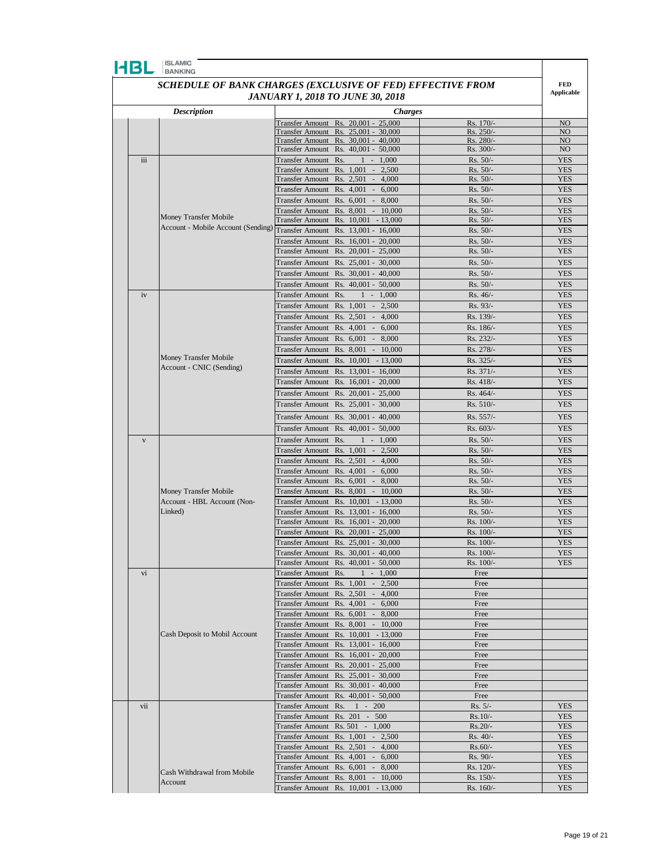

| SCHEDULE OF BANK CHARGES (EXCLUSIVE OF FED) EFFECTIVE FROM |  |
|------------------------------------------------------------|--|
| <b>JANUARY 1, 2018 TO JUNE 30, 2018</b>                    |  |

**FED** 

|  |              |                                                                        | <b>JANUARY 1, 2018 TO JUNE 30, 2018</b>                                    |                     |                          | <b>Applicable</b>                                                                                                                                                                                                                                                                                                                                                                                                  |
|--|--------------|------------------------------------------------------------------------|----------------------------------------------------------------------------|---------------------|--------------------------|--------------------------------------------------------------------------------------------------------------------------------------------------------------------------------------------------------------------------------------------------------------------------------------------------------------------------------------------------------------------------------------------------------------------|
|  |              | <b>Description</b>                                                     |                                                                            | <b>Charges</b>      |                          |                                                                                                                                                                                                                                                                                                                                                                                                                    |
|  |              |                                                                        | Transfer Amount Rs. 20,001 - 25,000                                        |                     | Rs. 170/-                | NO                                                                                                                                                                                                                                                                                                                                                                                                                 |
|  |              |                                                                        | Transfer Amount Rs. 25,001 - 30,000                                        |                     | Rs. 250/-                | NO                                                                                                                                                                                                                                                                                                                                                                                                                 |
|  |              |                                                                        | Transfer Amount Rs. 30,001 - 40,000                                        |                     | Rs. 280/-                | NO                                                                                                                                                                                                                                                                                                                                                                                                                 |
|  |              |                                                                        | Transfer Amount Rs. 40,001 - 50,000                                        |                     | Rs. 300/-                | NO.                                                                                                                                                                                                                                                                                                                                                                                                                |
|  | iii          |                                                                        | Transfer Amount Rs.                                                        | $1 - 1,000$         | $Rs. 50/-$               | <b>YES</b>                                                                                                                                                                                                                                                                                                                                                                                                         |
|  |              |                                                                        | Transfer Amount Rs. 1,001 - 2,500                                          |                     | Rs. 50/-                 | <b>YES</b>                                                                                                                                                                                                                                                                                                                                                                                                         |
|  |              |                                                                        | Transfer Amount Rs. 2,501 - 4,000                                          |                     | $Rs. 50/-$               | <b>YES</b>                                                                                                                                                                                                                                                                                                                                                                                                         |
|  |              |                                                                        | Transfer Amount Rs. 4,001 -                                                | 6,000               | Rs. 50/-                 |                                                                                                                                                                                                                                                                                                                                                                                                                    |
|  |              |                                                                        | Transfer Amount Rs. 6,001 - 8,000                                          |                     | Rs. 50/-                 |                                                                                                                                                                                                                                                                                                                                                                                                                    |
|  |              | Money Transfer Mobile                                                  | Transfer Amount Rs. 8,001 - 10,000<br>Transfer Amount Rs. 10,001 - 13,000  |                     | Rs. 50/-<br>Rs. 50/-     |                                                                                                                                                                                                                                                                                                                                                                                                                    |
|  |              | Account - Mobile Account (Sending) Transfer Amount Rs. 13,001 - 16,000 |                                                                            |                     | $Rs. 50/-$               |                                                                                                                                                                                                                                                                                                                                                                                                                    |
|  |              |                                                                        | Transfer Amount                                                            | Rs. 16,001 - 20,000 | Rs. 50/-                 |                                                                                                                                                                                                                                                                                                                                                                                                                    |
|  |              |                                                                        | Transfer Amount Rs. 20,001 - 25,000                                        |                     | Rs. 50/-                 |                                                                                                                                                                                                                                                                                                                                                                                                                    |
|  |              |                                                                        | Transfer Amount Rs. 25,001 - 30,000                                        |                     | Rs. 50/-                 |                                                                                                                                                                                                                                                                                                                                                                                                                    |
|  |              |                                                                        |                                                                            |                     |                          |                                                                                                                                                                                                                                                                                                                                                                                                                    |
|  |              |                                                                        | Transfer Amount Rs. 30,001 - 40,000                                        |                     | $Rs. 50/-$<br>$Rs. 50/-$ |                                                                                                                                                                                                                                                                                                                                                                                                                    |
|  |              |                                                                        | Transfer Amount Rs. 40,001 - 50,000                                        |                     |                          |                                                                                                                                                                                                                                                                                                                                                                                                                    |
|  | iv           |                                                                        | Transfer Amount Rs.                                                        | $1 - 1,000$         | Rs. 46/-                 |                                                                                                                                                                                                                                                                                                                                                                                                                    |
|  |              |                                                                        | Transfer Amount Rs. 1,001 -                                                | 2,500               | Rs. 93/-                 |                                                                                                                                                                                                                                                                                                                                                                                                                    |
|  |              |                                                                        | Transfer Amount Rs. 2,501 - 4,000                                          |                     | Rs. 139/-                |                                                                                                                                                                                                                                                                                                                                                                                                                    |
|  |              |                                                                        | Transfer Amount Rs. 4,001 - 6,000                                          |                     | Rs. 186/-                |                                                                                                                                                                                                                                                                                                                                                                                                                    |
|  |              |                                                                        | Transfer Amount Rs. 6,001 - 8,000                                          |                     | Rs. 232/-                | <b>YES</b><br><b>YES</b><br><b>YES</b><br><b>YES</b><br><b>YES</b><br><b>YES</b><br><b>YES</b>                                                                                                                                                                                                                                                                                                                     |
|  |              | Money Transfer Mobile                                                  | Transfer Amount Rs. 8,001 - 10,000                                         |                     | Rs. 278/-                |                                                                                                                                                                                                                                                                                                                                                                                                                    |
|  |              | Account - CNIC (Sending)                                               | Transfer Amount Rs. 10,001 - 13,000                                        |                     | Rs. 325/-                |                                                                                                                                                                                                                                                                                                                                                                                                                    |
|  |              |                                                                        | Transfer Amount Rs. 13,001 - 16,000                                        |                     | Rs. 371/-                | <b>YES</b><br><b>YES</b><br><b>YES</b><br><b>YES</b><br><b>YES</b><br><b>YES</b><br><b>YES</b><br><b>YES</b><br><b>YES</b><br><b>YES</b><br><b>YES</b><br><b>YES</b><br><b>YES</b><br><b>YES</b><br><b>YES</b><br><b>YES</b><br><b>YES</b><br><b>YES</b><br><b>YES</b><br><b>YES</b><br><b>YES</b><br><b>YES</b><br><b>YES</b><br><b>YES</b><br><b>YES</b><br><b>YES</b><br><b>YES</b><br><b>YES</b><br><b>YES</b> |
|  |              |                                                                        | Transfer Amount Rs. 16,001 - 20,000                                        |                     | Rs. 418/-                |                                                                                                                                                                                                                                                                                                                                                                                                                    |
|  |              |                                                                        | Transfer Amount Rs. 20,001 - 25,000                                        |                     | Rs. 464/-                |                                                                                                                                                                                                                                                                                                                                                                                                                    |
|  |              |                                                                        | Transfer Amount Rs. 25,001 - 30,000                                        |                     | Rs. 510/-                |                                                                                                                                                                                                                                                                                                                                                                                                                    |
|  |              |                                                                        | Transfer Amount Rs. 30,001 - 40,000                                        |                     | Rs. 557/-                |                                                                                                                                                                                                                                                                                                                                                                                                                    |
|  |              |                                                                        | Transfer Amount                                                            | Rs. 40,001 - 50,000 | Rs. 603/-                |                                                                                                                                                                                                                                                                                                                                                                                                                    |
|  | $\mathbf{V}$ |                                                                        | <b>Transfer Amount</b><br>Rs.                                              | $1 - 1,000$         | $Rs. 50/-$               |                                                                                                                                                                                                                                                                                                                                                                                                                    |
|  |              |                                                                        | Transfer Amount Rs. 1,001 -                                                | 2,500               | Rs. 50/-                 |                                                                                                                                                                                                                                                                                                                                                                                                                    |
|  |              |                                                                        | Transfer Amount Rs. 2,501 - 4,000                                          |                     | $Rs. 50/-$               |                                                                                                                                                                                                                                                                                                                                                                                                                    |
|  |              |                                                                        | Transfer Amount Rs. 4,001 - 6,000                                          |                     | Rs. 50/-                 |                                                                                                                                                                                                                                                                                                                                                                                                                    |
|  |              |                                                                        | Transfer Amount Rs. 6,001 - 8,000                                          |                     | $Rs. 50/-$               |                                                                                                                                                                                                                                                                                                                                                                                                                    |
|  |              | Money Transfer Mobile<br>Account - HBL Account (Non-                   | Transfer Amount Rs. 8,001 - 10,000                                         |                     | Rs. 50/-                 |                                                                                                                                                                                                                                                                                                                                                                                                                    |
|  |              |                                                                        | Transfer Amount Rs. 10,001 - 13,000                                        |                     | Rs. 50/-                 |                                                                                                                                                                                                                                                                                                                                                                                                                    |
|  |              | Linked)                                                                | Transfer Amount Rs. 13,001 - 16,000                                        |                     | $Rs. 50/-$               |                                                                                                                                                                                                                                                                                                                                                                                                                    |
|  |              |                                                                        | Transfer Amount Rs. 16,001 - 20,000                                        |                     | Rs. 100/-                |                                                                                                                                                                                                                                                                                                                                                                                                                    |
|  |              |                                                                        | Transfer Amount                                                            | Rs. 20,001 - 25,000 | Rs. 100/-                |                                                                                                                                                                                                                                                                                                                                                                                                                    |
|  |              |                                                                        | Transfer Amount Rs. 25,001 - 30,000                                        |                     | Rs. 100/-                |                                                                                                                                                                                                                                                                                                                                                                                                                    |
|  |              |                                                                        | Transfer Amount Rs. 30,001 - 40,000                                        |                     | Rs. 100/-                |                                                                                                                                                                                                                                                                                                                                                                                                                    |
|  |              |                                                                        | Transfer Amount Rs. 40,001 - 50,000                                        |                     | Rs. 100/-                |                                                                                                                                                                                                                                                                                                                                                                                                                    |
|  | vi           |                                                                        | Transfer Amount Rs.                                                        | $1 - 1,000$         | Free                     |                                                                                                                                                                                                                                                                                                                                                                                                                    |
|  |              |                                                                        | Transfer Amount Rs. 1,001 -                                                | 2,500               | Free                     |                                                                                                                                                                                                                                                                                                                                                                                                                    |
|  |              |                                                                        | Transfer Amount Rs. 2,501 - 4,000                                          |                     | Free                     |                                                                                                                                                                                                                                                                                                                                                                                                                    |
|  |              |                                                                        | Transfer Amount Rs. 4,001 - 6,000                                          |                     | Free                     |                                                                                                                                                                                                                                                                                                                                                                                                                    |
|  |              |                                                                        | Transfer Amount Rs. 6,001 - 8,000                                          |                     | Free                     |                                                                                                                                                                                                                                                                                                                                                                                                                    |
|  |              |                                                                        | Transfer Amount Rs. 8,001 - 10,000                                         |                     | Free                     |                                                                                                                                                                                                                                                                                                                                                                                                                    |
|  |              | Cash Deposit to Mobil Account                                          | Transfer Amount Rs. 10,001 - 13,000                                        |                     | Free                     |                                                                                                                                                                                                                                                                                                                                                                                                                    |
|  |              |                                                                        | Transfer Amount Rs. 13,001 - 16,000                                        |                     | Free                     |                                                                                                                                                                                                                                                                                                                                                                                                                    |
|  |              |                                                                        | Transfer Amount Rs. 16,001 - 20,000                                        |                     | Free                     |                                                                                                                                                                                                                                                                                                                                                                                                                    |
|  |              |                                                                        | Transfer Amount Rs. 20,001 - 25,000<br>Transfer Amount Rs. 25,001 - 30,000 |                     | Free                     |                                                                                                                                                                                                                                                                                                                                                                                                                    |
|  |              |                                                                        | Transfer Amount Rs. 30,001 - 40,000                                        |                     | Free<br>Free             |                                                                                                                                                                                                                                                                                                                                                                                                                    |
|  |              |                                                                        | Transfer Amount Rs. 40,001 - 50,000                                        |                     | Free                     |                                                                                                                                                                                                                                                                                                                                                                                                                    |
|  | vii          |                                                                        | Transfer Amount Rs.                                                        | $1 - 200$           | $Rs. 5/-$                | <b>YES</b>                                                                                                                                                                                                                                                                                                                                                                                                         |
|  |              |                                                                        | Transfer Amount Rs. 201 - 500                                              |                     | $Rs.10/-$                | <b>YES</b>                                                                                                                                                                                                                                                                                                                                                                                                         |
|  |              |                                                                        | Transfer Amount Rs. 501 - 1,000                                            |                     | $Rs.20/-$                | <b>YES</b>                                                                                                                                                                                                                                                                                                                                                                                                         |
|  |              |                                                                        | Transfer Amount Rs. $1,001 - 2,500$                                        |                     | $Rs. 40/-$               | <b>YES</b>                                                                                                                                                                                                                                                                                                                                                                                                         |
|  |              |                                                                        | Transfer Amount Rs. 2,501 - 4,000                                          |                     | $Rs.60/-$                | <b>YES</b>                                                                                                                                                                                                                                                                                                                                                                                                         |
|  |              |                                                                        | Transfer Amount Rs. 4,001 - 6,000                                          |                     | Rs. 90/-                 | <b>YES</b>                                                                                                                                                                                                                                                                                                                                                                                                         |
|  |              |                                                                        | Transfer Amount Rs. 6,001 - 8,000                                          |                     | Rs. 120/-                | <b>YES</b>                                                                                                                                                                                                                                                                                                                                                                                                         |
|  |              | Cash Withdrawal from Mobile                                            | Transfer Amount Rs. 8,001 - 10,000                                         |                     | Rs. 150/-                | <b>YES</b>                                                                                                                                                                                                                                                                                                                                                                                                         |
|  |              | Account                                                                | Transfer Amount Rs. 10,001 - 13,000                                        |                     | Rs. 160/-                | <b>YES</b>                                                                                                                                                                                                                                                                                                                                                                                                         |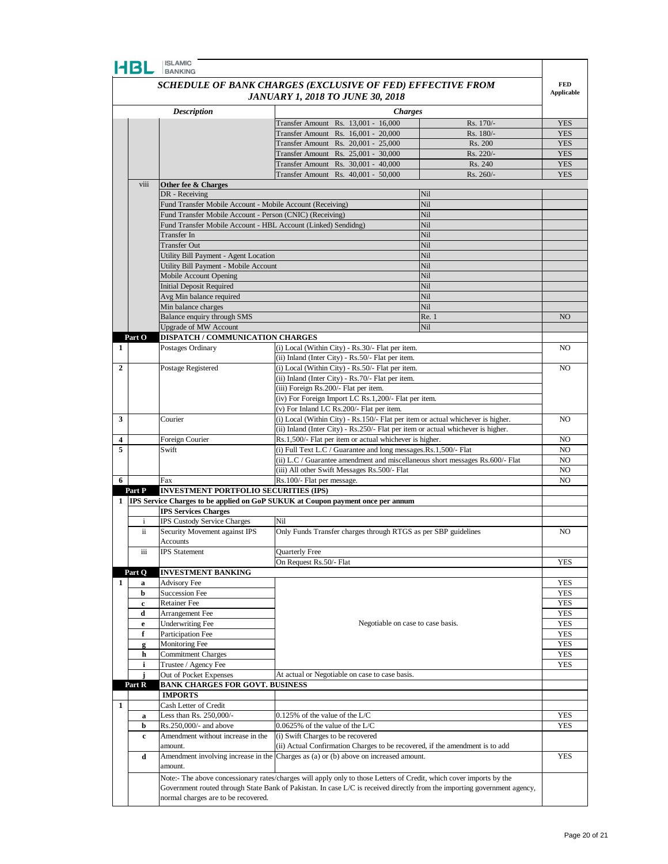|              | HBL                                 | <b>BANKING</b>                                                         | SCHEDULE OF BANK CHARGES (EXCLUSIVE OF FED) EFFECTIVE FROM                                                                   |            | <b>FED</b>        |  |  |
|--------------|-------------------------------------|------------------------------------------------------------------------|------------------------------------------------------------------------------------------------------------------------------|------------|-------------------|--|--|
|              |                                     |                                                                        | <b>JANUARY 1, 2018 TO JUNE 30, 2018</b>                                                                                      |            | <b>Applicable</b> |  |  |
|              |                                     | <b>Description</b>                                                     |                                                                                                                              |            |                   |  |  |
|              |                                     |                                                                        | <b>Charges</b><br>Transfer Amount Rs. 13,001 - 16,000                                                                        | Rs. 170/-  | <b>YES</b>        |  |  |
|              |                                     |                                                                        | Transfer Amount Rs. 16,001 - 20,000                                                                                          | Rs. 180/-  | <b>YES</b>        |  |  |
|              |                                     |                                                                        | Fransfer Amount Rs. 20,001 - 25,000                                                                                          | Rs. 200    | <b>YES</b>        |  |  |
|              |                                     |                                                                        | Transfer Amount Rs. 25,001 - 30,000                                                                                          | Rs. 220/-  | <b>YES</b>        |  |  |
|              |                                     |                                                                        | Transfer Amount Rs. 30,001 - 40,000                                                                                          | Rs. 240    | <b>YES</b>        |  |  |
|              |                                     |                                                                        | Transfer Amount Rs. 40,001 - 50,000                                                                                          | Rs. 260/-  | <b>YES</b>        |  |  |
|              | viii                                | Other fee & Charges                                                    |                                                                                                                              |            |                   |  |  |
|              |                                     | DR - Receiving                                                         |                                                                                                                              | Nil        |                   |  |  |
|              |                                     | Fund Transfer Mobile Account - Mobile Account (Receiving)              |                                                                                                                              | Nil        |                   |  |  |
|              |                                     | Fund Transfer Mobile Account - Person (CNIC) (Receiving)               |                                                                                                                              | Nil        |                   |  |  |
|              |                                     | Fund Transfer Mobile Account - HBL Account (Linked) Sendidng)          |                                                                                                                              | Nil        |                   |  |  |
|              |                                     | <b>Transfer In</b>                                                     |                                                                                                                              | Nil        |                   |  |  |
|              |                                     | <b>Transfer Out</b>                                                    |                                                                                                                              | Nil        |                   |  |  |
|              |                                     | Utility Bill Payment - Agent Location                                  |                                                                                                                              | Nil<br>Nil |                   |  |  |
|              |                                     | Utility Bill Payment - Mobile Account<br><b>Mobile Account Opening</b> |                                                                                                                              | Nil        |                   |  |  |
|              |                                     | <b>Initial Deposit Required</b>                                        |                                                                                                                              | Nil        |                   |  |  |
|              |                                     | Avg Min balance required                                               |                                                                                                                              | Nil        |                   |  |  |
|              |                                     | Min balance charges                                                    |                                                                                                                              | Nil        |                   |  |  |
|              |                                     | Balance enquiry through SMS                                            |                                                                                                                              | Re. 1      | NO                |  |  |
|              |                                     | <b>Upgrade of MW Account</b>                                           |                                                                                                                              | Nil        |                   |  |  |
|              | Part O                              | <b>DISPATCH / COMMUNICATION CHARGES</b>                                |                                                                                                                              |            |                   |  |  |
| 1            |                                     | Postages Ordinary                                                      | (i) Local (Within City) - Rs.30/- Flat per item.                                                                             |            | NO.               |  |  |
|              |                                     |                                                                        | (ii) Inland (Inter City) - Rs.50/- Flat per item.                                                                            |            |                   |  |  |
| 2            |                                     | Postage Registered                                                     | (i) Local (Within City) - Rs.50/- Flat per item.                                                                             |            |                   |  |  |
|              |                                     |                                                                        | (ii) Inland (Inter City) - Rs. 70/- Flat per item.                                                                           |            |                   |  |  |
|              |                                     |                                                                        | (iii) Foreign Rs.200/- Flat per item.                                                                                        |            |                   |  |  |
|              |                                     |                                                                        | (iv) For Foreign Import LC Rs.1,200/- Flat per item.                                                                         |            |                   |  |  |
| 3            |                                     | Courier                                                                | (v) For Inland LC Rs.200/- Flat per item.<br>(i) Local (Within City) - Rs.150/- Flat per item or actual whichever is higher. |            | N <sub>O</sub>    |  |  |
|              |                                     |                                                                        | (ii) Inland (Inter City) - Rs.250/- Flat per item or actual whichever is higher.                                             |            |                   |  |  |
| 4            |                                     | Foreign Courier                                                        | Rs.1,500/- Flat per item or actual whichever is higher.                                                                      |            | N <sub>O</sub>    |  |  |
| 5            |                                     | Swift                                                                  | (i) Full Text L.C / Guarantee and long messages.Rs.1,500/- Flat                                                              |            | N <sub>O</sub>    |  |  |
|              |                                     |                                                                        | (ii) L.C / Guarantee amendment and miscellaneous short messages Rs.600/- Flat                                                |            | N <sub>O</sub>    |  |  |
|              |                                     |                                                                        | (iii) All other Swift Messages Rs.500/- Flat                                                                                 |            | N <sub>O</sub>    |  |  |
| 6            |                                     | Fax                                                                    | Rs.100/- Flat per message.                                                                                                   |            | NO.               |  |  |
|              | Part P                              | <b>INVESTMENT PORTFOLIO SECURITIES (IPS)</b>                           |                                                                                                                              |            |                   |  |  |
|              |                                     |                                                                        | 1 <b>IPS</b> Service Charges to be applied on GoP SUKUK at Coupon payment once per annum                                     |            |                   |  |  |
|              |                                     | <b>IPS Services Charges</b>                                            |                                                                                                                              |            |                   |  |  |
|              | $\mathbf{i}$                        | IPS Custody Service Charges                                            | Nil                                                                                                                          |            |                   |  |  |
|              | ii                                  | Security Movement against IPS                                          | Only Funds Transfer charges through RTGS as per SBP guidelines                                                               |            | NO                |  |  |
|              |                                     | Accounts<br><b>IPS</b> Statement                                       | <b>Ouarterly Free</b>                                                                                                        |            |                   |  |  |
|              | iii                                 |                                                                        | On Request Rs.50/- Flat                                                                                                      |            | <b>YES</b>        |  |  |
|              | Part O                              | <b>INVESTMENT BANKING</b>                                              |                                                                                                                              |            |                   |  |  |
| $\mathbf{1}$ | a                                   | <b>Advisory Fee</b>                                                    |                                                                                                                              |            | <b>YES</b>        |  |  |
|              | b                                   | <b>Succession Fee</b>                                                  |                                                                                                                              |            | <b>YES</b>        |  |  |
|              | c                                   | Retainer Fee                                                           |                                                                                                                              |            | <b>YES</b>        |  |  |
|              | d                                   | Arrangement Fee                                                        |                                                                                                                              |            | <b>YES</b>        |  |  |
|              | e                                   | <b>Underwriting Fee</b>                                                | Negotiable on case to case basis.                                                                                            |            | <b>YES</b>        |  |  |
|              | f                                   | Participation Fee                                                      |                                                                                                                              |            | <b>YES</b>        |  |  |
|              | g                                   | Monitoring Fee                                                         |                                                                                                                              |            | <b>YES</b>        |  |  |
|              | h                                   | <b>Commitment Charges</b>                                              |                                                                                                                              |            | <b>YES</b>        |  |  |
|              | i                                   | Trustee / Agency Fee                                                   |                                                                                                                              |            | <b>YES</b>        |  |  |
|              | j                                   | Out of Pocket Expenses                                                 | At actual or Negotiable on case to case basis.                                                                               |            |                   |  |  |
|              | Part R                              | <b>BANK CHARGES FOR GOVT. BUSINESS</b>                                 |                                                                                                                              |            |                   |  |  |
| 1            |                                     | <b>IMPORTS</b>                                                         |                                                                                                                              |            |                   |  |  |
|              |                                     | Cash Letter of Credit<br>Less than Rs. 250,000/-                       | 0.125% of the value of the L/C                                                                                               |            | YES               |  |  |
|              | a<br>b                              | Rs.250,000/- and above                                                 | 0.0625% of the value of the L/C                                                                                              |            | <b>YES</b>        |  |  |
|              | c                                   | Amendment without increase in the                                      | (i) Swift Charges to be recovered                                                                                            |            |                   |  |  |
|              |                                     | amount.                                                                | (ii) Actual Confirmation Charges to be recovered, if the amendment is to add                                                 |            |                   |  |  |
|              | d                                   |                                                                        | Amendment involving increase in the Charges as (a) or (b) above on increased amount.                                         |            | <b>YES</b>        |  |  |
|              |                                     | amount.                                                                |                                                                                                                              |            |                   |  |  |
|              |                                     |                                                                        | Note:- The above concessionary rates/charges will apply only to those Letters of Credit, which cover imports by the          |            |                   |  |  |
|              |                                     |                                                                        | Government routed through State Bank of Pakistan. In case L/C is received directly from the importing government agency,     |            |                   |  |  |
|              | normal charges are to be recovered. |                                                                        |                                                                                                                              |            |                   |  |  |